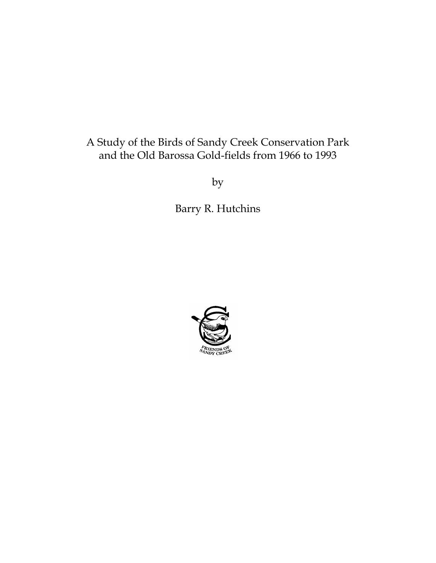# A Study of the Birds of Sandy Creek Conservation Park and the Old Barossa Gold-fields from 1966 to 1993

by

Barry R. Hutchins

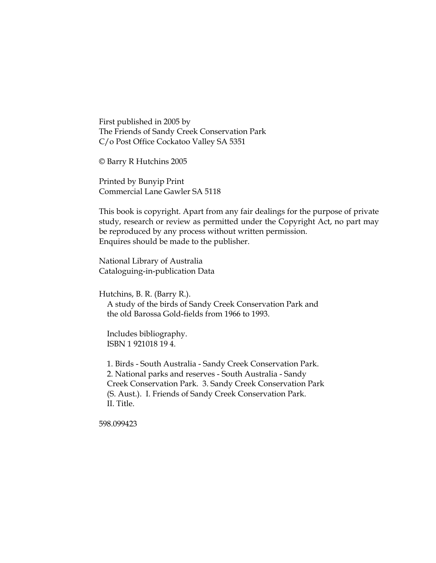First published in 2005 by The Friends of Sandy Creek Conservation Park C/o Post Office Cockatoo Valley SA 5351

© Barry R Hutchins 2005

Printed by Bunyip Print Commercial Lane Gawler SA 5118

This book is copyright. Apart from any fair dealings for the purpose of private study, research or review as permitted under the Copyright Act, no part may be reproduced by any process without written permission. Enquires should be made to the publisher.

National Library of Australia Cataloguing-in-publication Data

Hutchins, B. R. (Barry R.).

 A study of the birds of Sandy Creek Conservation Park and the old Barossa Gold-fields from 1966 to 1993.

 Includes bibliography. ISBN 1 921018 19 4.

 1. Birds - South Australia - Sandy Creek Conservation Park. 2. National parks and reserves - South Australia - Sandy Creek Conservation Park. 3. Sandy Creek Conservation Park (S. Aust.). I. Friends of Sandy Creek Conservation Park. II. Title.

598.099423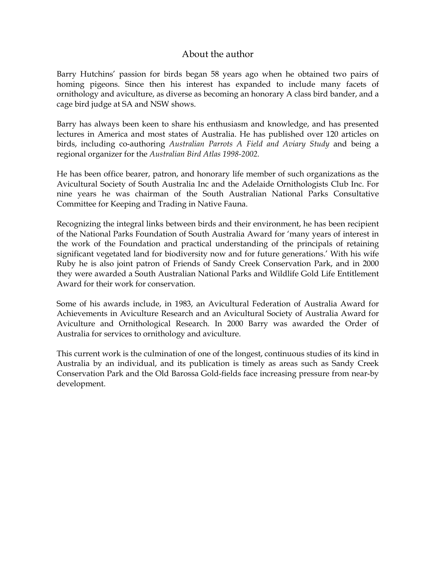### About the author

Barry Hutchins' passion for birds began 58 years ago when he obtained two pairs of homing pigeons. Since then his interest has expanded to include many facets of ornithology and aviculture, as diverse as becoming an honorary A class bird bander, and a cage bird judge at SA and NSW shows.

Barry has always been keen to share his enthusiasm and knowledge, and has presented lectures in America and most states of Australia. He has published over 120 articles on birds, including co-authoring *Australian Parrots A Field and Aviary Study* and being a regional organizer for the *Australian Bird Atlas 1998-2002.*

He has been office bearer, patron, and honorary life member of such organizations as the Avicultural Society of South Australia Inc and the Adelaide Ornithologists Club Inc. For nine years he was chairman of the South Australian National Parks Consultative Committee for Keeping and Trading in Native Fauna.

Recognizing the integral links between birds and their environment, he has been recipient of the National Parks Foundation of South Australia Award for 'many years of interest in the work of the Foundation and practical understanding of the principals of retaining significant vegetated land for biodiversity now and for future generations.' With his wife Ruby he is also joint patron of Friends of Sandy Creek Conservation Park, and in 2000 they were awarded a South Australian National Parks and Wildlife Gold Life Entitlement Award for their work for conservation.

Some of his awards include, in 1983, an Avicultural Federation of Australia Award for Achievements in Aviculture Research and an Avicultural Society of Australia Award for Aviculture and Ornithological Research. In 2000 Barry was awarded the Order of Australia for services to ornithology and aviculture.

This current work is the culmination of one of the longest, continuous studies of its kind in Australia by an individual, and its publication is timely as areas such as Sandy Creek Conservation Park and the Old Barossa Gold-fields face increasing pressure from near-by development.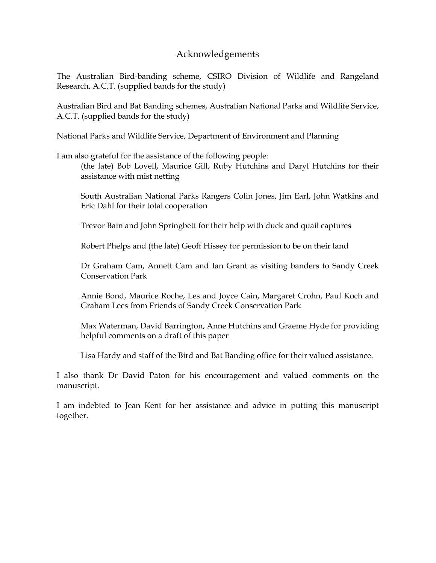### Acknowledgements

The Australian Bird-banding scheme, CSIRO Division of Wildlife and Rangeland Research, A.C.T. (supplied bands for the study)

Australian Bird and Bat Banding schemes, Australian National Parks and Wildlife Service, A.C.T. (supplied bands for the study)

National Parks and Wildlife Service, Department of Environment and Planning

I am also grateful for the assistance of the following people:

(the late) Bob Lovell, Maurice Gill, Ruby Hutchins and Daryl Hutchins for their assistance with mist netting

South Australian National Parks Rangers Colin Jones, Jim Earl, John Watkins and Eric Dahl for their total cooperation

Trevor Bain and John Springbett for their help with duck and quail captures

Robert Phelps and (the late) Geoff Hissey for permission to be on their land

Dr Graham Cam, Annett Cam and Ian Grant as visiting banders to Sandy Creek Conservation Park

Annie Bond, Maurice Roche, Les and Joyce Cain, Margaret Crohn, Paul Koch and Graham Lees from Friends of Sandy Creek Conservation Park

Max Waterman, David Barrington, Anne Hutchins and Graeme Hyde for providing helpful comments on a draft of this paper

Lisa Hardy and staff of the Bird and Bat Banding office for their valued assistance.

I also thank Dr David Paton for his encouragement and valued comments on the manuscript.

I am indebted to Jean Kent for her assistance and advice in putting this manuscript together.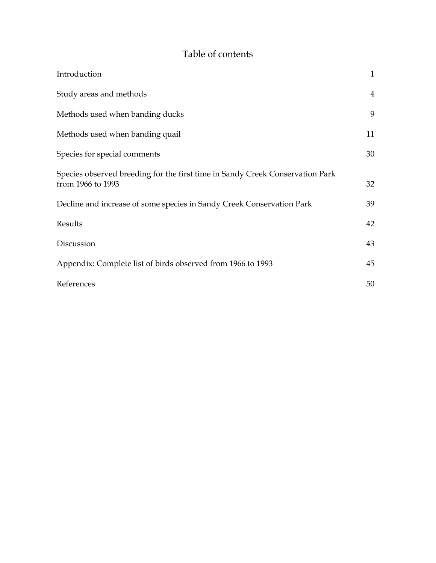# Table of contents

| Introduction                                                                                       | $\mathbf{1}$   |
|----------------------------------------------------------------------------------------------------|----------------|
| Study areas and methods                                                                            | $\overline{4}$ |
| Methods used when banding ducks                                                                    | 9              |
| Methods used when banding quail                                                                    | 11             |
| Species for special comments                                                                       | 30             |
| Species observed breeding for the first time in Sandy Creek Conservation Park<br>from 1966 to 1993 | 32             |
| Decline and increase of some species in Sandy Creek Conservation Park                              | 39             |
| Results                                                                                            | 42             |
| Discussion                                                                                         | 43             |
| Appendix: Complete list of birds observed from 1966 to 1993                                        | 45             |
| References                                                                                         | 50             |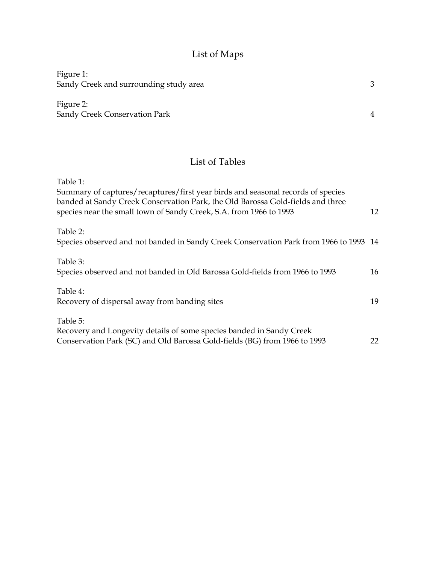# List of Maps

| Figure 1:                                                                                                                                                                     |   |
|-------------------------------------------------------------------------------------------------------------------------------------------------------------------------------|---|
| Sandy Creek and surrounding study area                                                                                                                                        | 3 |
| Figure 2:<br>Sandy Creek Conservation Park                                                                                                                                    | 4 |
| List of Tables                                                                                                                                                                |   |
| Table 1:<br>Summary of captures/recaptures/first year birds and seasonal records of species<br>banded at Sandy Creek Conservation Park, the Old Barossa Gold-fields and three |   |

| Table 1:                                                                              |    |
|---------------------------------------------------------------------------------------|----|
| Summary of captures/recaptures/first year birds and seasonal records of species       |    |
| banded at Sandy Creek Conservation Park, the Old Barossa Gold-fields and three        |    |
| species near the small town of Sandy Creek, S.A. from 1966 to 1993                    | 12 |
|                                                                                       |    |
| Table 2:                                                                              |    |
| Species observed and not banded in Sandy Creek Conservation Park from 1966 to 1993 14 |    |
| Table 3:                                                                              |    |
|                                                                                       |    |
| Species observed and not banded in Old Barossa Gold-fields from 1966 to 1993          | 16 |
| Table 4:                                                                              |    |
|                                                                                       | 19 |
| Recovery of dispersal away from banding sites                                         |    |
| Table 5:                                                                              |    |
| Recovery and Longevity details of some species banded in Sandy Creek                  |    |
|                                                                                       |    |
| Conservation Park (SC) and Old Barossa Gold-fields (BG) from 1966 to 1993             | 22 |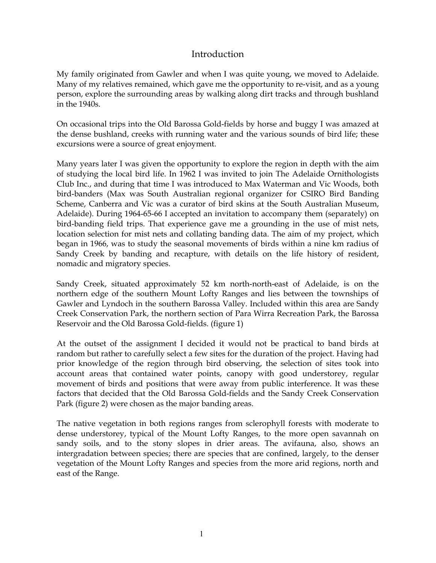### Introduction

My family originated from Gawler and when I was quite young, we moved to Adelaide. Many of my relatives remained, which gave me the opportunity to re-visit, and as a young person, explore the surrounding areas by walking along dirt tracks and through bushland in the 1940s.

On occasional trips into the Old Barossa Gold-fields by horse and buggy I was amazed at the dense bushland, creeks with running water and the various sounds of bird life; these excursions were a source of great enjoyment.

Many years later I was given the opportunity to explore the region in depth with the aim of studying the local bird life. In 1962 I was invited to join The Adelaide Ornithologists Club Inc., and during that time I was introduced to Max Waterman and Vic Woods, both bird-banders (Max was South Australian regional organizer for CSIRO Bird Banding Scheme, Canberra and Vic was a curator of bird skins at the South Australian Museum, Adelaide). During 1964-65-66 I accepted an invitation to accompany them (separately) on bird-banding field trips. That experience gave me a grounding in the use of mist nets, location selection for mist nets and collating banding data. The aim of my project, which began in 1966, was to study the seasonal movements of birds within a nine km radius of Sandy Creek by banding and recapture, with details on the life history of resident, nomadic and migratory species.

Sandy Creek, situated approximately 52 km north-north-east of Adelaide, is on the northern edge of the southern Mount Lofty Ranges and lies between the townships of Gawler and Lyndoch in the southern Barossa Valley. Included within this area are Sandy Creek Conservation Park, the northern section of Para Wirra Recreation Park, the Barossa Reservoir and the Old Barossa Gold-fields. (figure 1)

At the outset of the assignment I decided it would not be practical to band birds at random but rather to carefully select a few sites for the duration of the project. Having had prior knowledge of the region through bird observing, the selection of sites took into account areas that contained water points, canopy with good understorey, regular movement of birds and positions that were away from public interference. It was these factors that decided that the Old Barossa Gold-fields and the Sandy Creek Conservation Park (figure 2) were chosen as the major banding areas.

The native vegetation in both regions ranges from sclerophyll forests with moderate to dense understorey, typical of the Mount Lofty Ranges, to the more open savannah on sandy soils, and to the stony slopes in drier areas. The avifauna, also, shows an intergradation between species; there are species that are confined, largely, to the denser vegetation of the Mount Lofty Ranges and species from the more arid regions, north and east of the Range.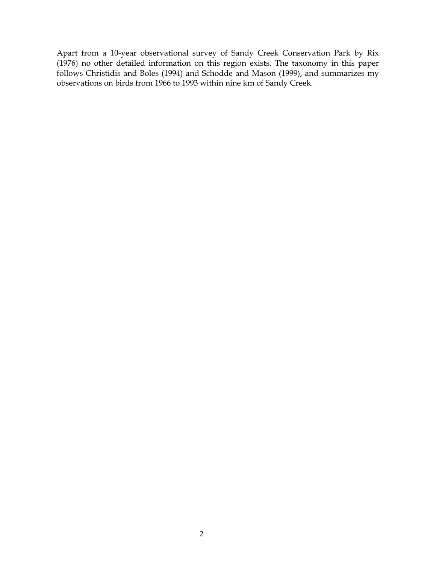Apart from a 10-year observational survey of Sandy Creek Conservation Park by Rix (1976) no other detailed information on this region exists. The taxonomy in this paper follows Christidis and Boles (1994) and Schodde and Mason (1999), and summarizes my observations on birds from 1966 to 1993 within nine km of Sandy Creek.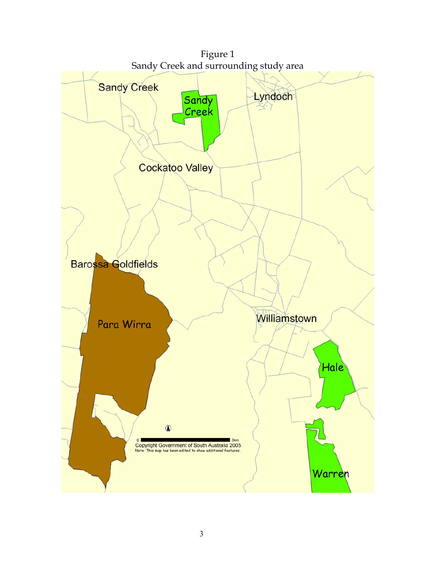

3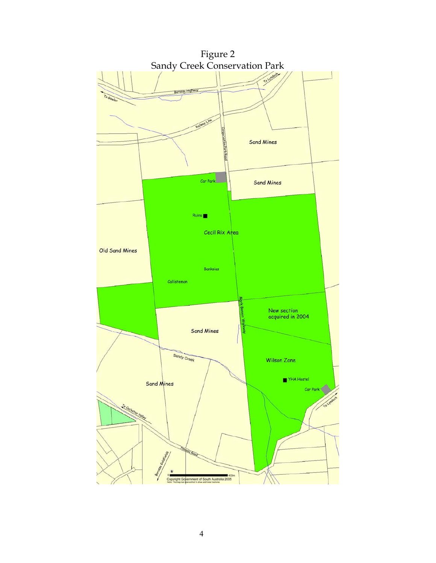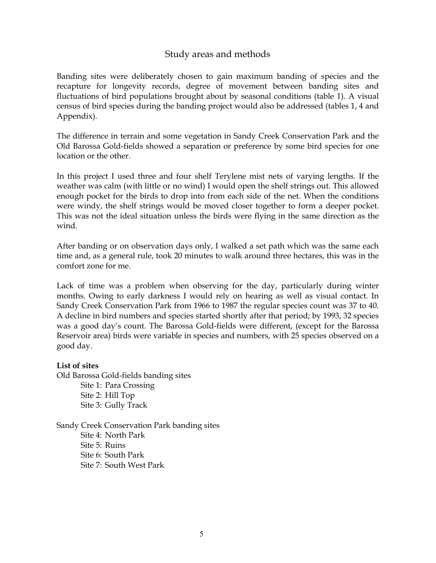### Study areas and methods

Banding sites were deliberately chosen to gain maximum banding of species and the recapture for longevity records, degree of movement between banding sites and fluctuations of bird populations brought about by seasonal conditions (table 1). A visual census of bird species during the banding project would also be addressed (tables 1, 4 and Appendix).

The difference in terrain and some vegetation in Sandy Creek Conservation Park and the Old Barossa Gold-fields showed a separation or preference by some bird species for one location or the other.

In this project I used three and four shelf Terylene mist nets of varying lengths. If the weather was calm (with little or no wind) I would open the shelf strings out. This allowed enough pocket for the birds to drop into from each side of the net. When the conditions were windy, the shelf strings would be moved closer together to form a deeper pocket. This was not the ideal situation unless the birds were flying in the same direction as the wind.

After banding or on observation days only, I walked a set path which was the same each time and, as a general rule, took 20 minutes to walk around three hectares, this was in the comfort zone for me.

Lack of time was a problem when observing for the day, particularly during winter months. Owing to early darkness I would rely on hearing as well as visual contact. In Sandy Creek Conservation Park from 1966 to 1987 the regular species count was 37 to 40. A decline in bird numbers and species started shortly after that period; by 1993, 32 species was a good day's count. The Barossa Gold-fields were different, (except for the Barossa Reservoir area) birds were variable in species and numbers, with 25 species observed on a good day.

### **List of sites**

Old Barossa Gold-fields banding sites Site 1: Para Crossing Site 2: Hill Top Site 3: Gully Track

Sandy Creek Conservation Park banding sites Site 4: North Park Site 5: Ruins Site 6: South Park Site 7: South West Park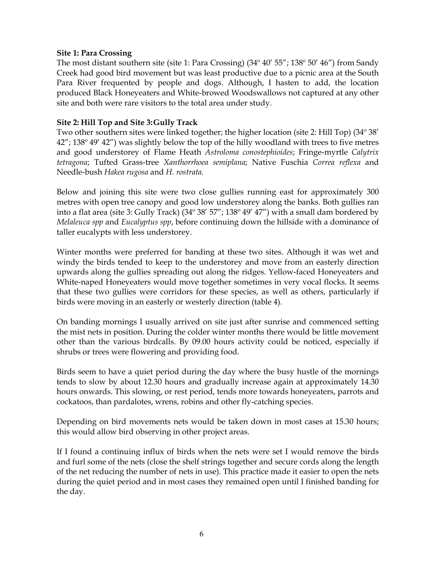#### **Site 1: Para Crossing**

The most distant southern site (site 1: Para Crossing)  $(34^{\circ} 40' 55'$ ;  $138^{\circ} 50' 46'')$  from Sandy Creek had good bird movement but was least productive due to a picnic area at the South Para River frequented by people and dogs. Although, I hasten to add, the location produced Black Honeyeaters and White-browed Woodswallows not captured at any other site and both were rare visitors to the total area under study.

### **Site 2: Hill Top and Site 3: Gully Track**

Two other southern sites were linked together; the higher location (site 2: Hill Top) (34º 38' 42"; 138º 49' 42") was slightly below the top of the hilly woodland with trees to five metres and good understorey of Flame Heath *Astroloma conostephioides*; Fringe-myrtle *Calytrix tetragona*; Tufted Grass-tree *Xanthorrhoea semiplana*; Native Fuschia *Correa reflexa* and Needle-bush *Hakea rugosa* and *H. rostrata*.

Below and joining this site were two close gullies running east for approximately 300 metres with open tree canopy and good low understorey along the banks. Both gullies ran into a flat area (site 3: Gully Track) (34º 38' 57"; 138º 49' 47") with a small dam bordered by *Melaleuca spp* and *Eucalyptus spp*, before continuing down the hillside with a dominance of taller eucalypts with less understorey.

Winter months were preferred for banding at these two sites. Although it was wet and windy the birds tended to keep to the understorey and move from an easterly direction upwards along the gullies spreading out along the ridges. Yellow-faced Honeyeaters and White-naped Honeyeaters would move together sometimes in very vocal flocks. It seems that these two gullies were corridors for these species, as well as others, particularly if birds were moving in an easterly or westerly direction (table 4).

On banding mornings I usually arrived on site just after sunrise and commenced setting the mist nets in position. During the colder winter months there would be little movement other than the various birdcalls. By 09.00 hours activity could be noticed, especially if shrubs or trees were flowering and providing food.

Birds seem to have a quiet period during the day where the busy hustle of the mornings tends to slow by about 12.30 hours and gradually increase again at approximately 14.30 hours onwards. This slowing, or rest period, tends more towards honeyeaters, parrots and cockatoos, than pardalotes, wrens, robins and other fly-catching species.

Depending on bird movements nets would be taken down in most cases at 15.30 hours; this would allow bird observing in other project areas.

If I found a continuing influx of birds when the nets were set I would remove the birds and furl some of the nets (close the shelf strings together and secure cords along the length of the net reducing the number of nets in use). This practice made it easier to open the nets during the quiet period and in most cases they remained open until I finished banding for the day.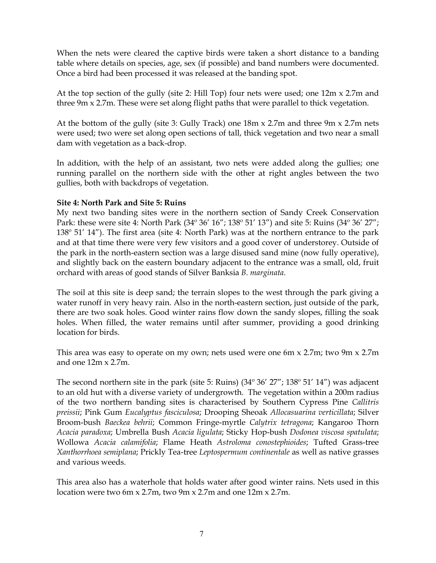When the nets were cleared the captive birds were taken a short distance to a banding table where details on species, age, sex (if possible) and band numbers were documented. Once a bird had been processed it was released at the banding spot.

At the top section of the gully (site 2: Hill Top) four nets were used; one 12m x 2.7m and three 9m x 2.7m. These were set along flight paths that were parallel to thick vegetation.

At the bottom of the gully (site 3: Gully Track) one 18m x 2.7m and three 9m x 2.7m nets were used; two were set along open sections of tall, thick vegetation and two near a small dam with vegetation as a back-drop.

In addition, with the help of an assistant, two nets were added along the gullies; one running parallel on the northern side with the other at right angles between the two gullies, both with backdrops of vegetation.

### **Site 4: North Park and Site 5: Ruins**

My next two banding sites were in the northern section of Sandy Creek Conservation Park: these were site 4: North Park (34° 36' 16"; 138° 51' 13") and site 5: Ruins (34° 36' 27"; 138º 51' 14"). The first area (site 4: North Park) was at the northern entrance to the park and at that time there were very few visitors and a good cover of understorey. Outside of the park in the north-eastern section was a large disused sand mine (now fully operative), and slightly back on the eastern boundary adjacent to the entrance was a small, old, fruit orchard with areas of good stands of Silver Banksia *B. marginata*.

The soil at this site is deep sand; the terrain slopes to the west through the park giving a water runoff in very heavy rain. Also in the north-eastern section, just outside of the park, there are two soak holes. Good winter rains flow down the sandy slopes, filling the soak holes. When filled, the water remains until after summer, providing a good drinking location for birds.

This area was easy to operate on my own; nets used were one 6m x 2.7m; two 9m x 2.7m and one 12m x 2.7m.

The second northern site in the park (site 5: Ruins) (34º 36' 27"; 138º 51' 14") was adjacent to an old hut with a diverse variety of undergrowth. The vegetation within a 200m radius of the two northern banding sites is characterised by Southern Cypress Pine *Callitris preissii*; Pink Gum *Eucalyptus fasciculosa*; Drooping Sheoak *Allocasuarina verticillata*; Silver Broom-bush *Baeckea behrii*; Common Fringe-myrtle *Calytrix tetragona*; Kangaroo Thorn *Acacia paradoxa*; Umbrella Bush *Acacia ligulata*; Sticky Hop-bush *Dodonea viscosa spatulata*; Wollowa *Acacia calamifolia*; Flame Heath *Astroloma conostephioides*; Tufted Grass-tree *Xanthorrhoea semiplana*; Prickly Tea-tree *Leptospermum continentale* as well as native grasses and various weeds.

This area also has a waterhole that holds water after good winter rains. Nets used in this location were two 6m x 2.7m, two 9m x 2.7m and one 12m x 2.7m.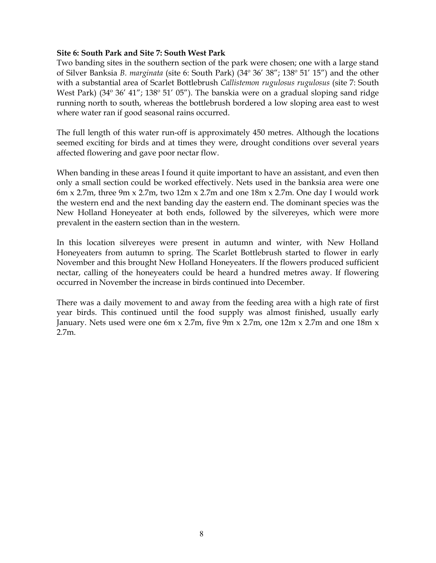### **Site 6: South Park and Site 7: South West Park**

Two banding sites in the southern section of the park were chosen; one with a large stand of Silver Banksia *B. marginata* (site 6: South Park) (34º 36' 38"; 138º 51' 15") and the other with a substantial area of Scarlet Bottlebrush *Callistemon rugulosus rugulosus* (site 7: South West Park) (34<sup>°</sup> 36' 41"; 138° 51' 05"). The banskia were on a gradual sloping sand ridge running north to south, whereas the bottlebrush bordered a low sloping area east to west where water ran if good seasonal rains occurred.

The full length of this water run-off is approximately 450 metres. Although the locations seemed exciting for birds and at times they were, drought conditions over several years affected flowering and gave poor nectar flow.

When banding in these areas I found it quite important to have an assistant, and even then only a small section could be worked effectively. Nets used in the banksia area were one 6m x 2.7m, three 9m x 2.7m, two  $12m \times 2.7m$  and one  $18m \times 2.7m$ . One day I would work the western end and the next banding day the eastern end. The dominant species was the New Holland Honeyeater at both ends, followed by the silvereyes, which were more prevalent in the eastern section than in the western.

In this location silvereyes were present in autumn and winter, with New Holland Honeyeaters from autumn to spring. The Scarlet Bottlebrush started to flower in early November and this brought New Holland Honeyeaters. If the flowers produced sufficient nectar, calling of the honeyeaters could be heard a hundred metres away. If flowering occurred in November the increase in birds continued into December.

There was a daily movement to and away from the feeding area with a high rate of first year birds. This continued until the food supply was almost finished, usually early January. Nets used were one 6m x 2.7m, five 9m x 2.7m, one 12m x 2.7m and one 18m x 2.7m.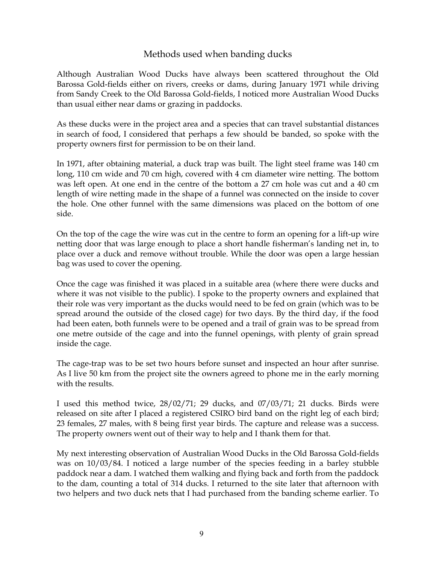### Methods used when banding ducks

Although Australian Wood Ducks have always been scattered throughout the Old Barossa Gold-fields either on rivers, creeks or dams, during January 1971 while driving from Sandy Creek to the Old Barossa Gold-fields, I noticed more Australian Wood Ducks than usual either near dams or grazing in paddocks.

As these ducks were in the project area and a species that can travel substantial distances in search of food, I considered that perhaps a few should be banded, so spoke with the property owners first for permission to be on their land.

In 1971, after obtaining material, a duck trap was built. The light steel frame was 140 cm long, 110 cm wide and 70 cm high, covered with 4 cm diameter wire netting. The bottom was left open. At one end in the centre of the bottom a 27 cm hole was cut and a 40 cm length of wire netting made in the shape of a funnel was connected on the inside to cover the hole. One other funnel with the same dimensions was placed on the bottom of one side.

On the top of the cage the wire was cut in the centre to form an opening for a lift-up wire netting door that was large enough to place a short handle fisherman's landing net in, to place over a duck and remove without trouble. While the door was open a large hessian bag was used to cover the opening.

Once the cage was finished it was placed in a suitable area (where there were ducks and where it was not visible to the public). I spoke to the property owners and explained that their role was very important as the ducks would need to be fed on grain (which was to be spread around the outside of the closed cage) for two days. By the third day, if the food had been eaten, both funnels were to be opened and a trail of grain was to be spread from one metre outside of the cage and into the funnel openings, with plenty of grain spread inside the cage.

The cage-trap was to be set two hours before sunset and inspected an hour after sunrise. As I live 50 km from the project site the owners agreed to phone me in the early morning with the results.

I used this method twice, 28/02/71; 29 ducks, and 07/03/71; 21 ducks. Birds were released on site after I placed a registered CSIRO bird band on the right leg of each bird; 23 females, 27 males, with 8 being first year birds. The capture and release was a success. The property owners went out of their way to help and I thank them for that.

My next interesting observation of Australian Wood Ducks in the Old Barossa Gold-fields was on 10/03/84. I noticed a large number of the species feeding in a barley stubble paddock near a dam. I watched them walking and flying back and forth from the paddock to the dam, counting a total of 314 ducks. I returned to the site later that afternoon with two helpers and two duck nets that I had purchased from the banding scheme earlier. To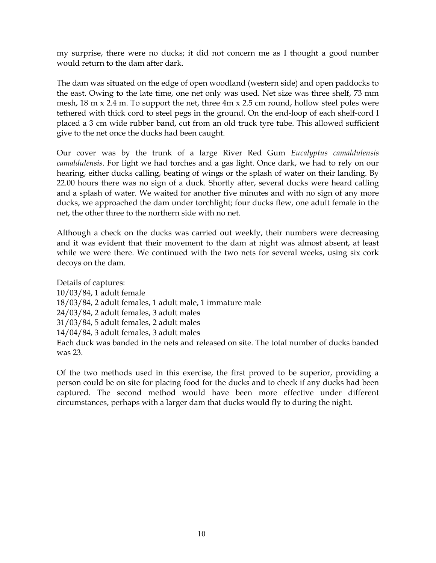my surprise, there were no ducks; it did not concern me as I thought a good number would return to the dam after dark.

The dam was situated on the edge of open woodland (western side) and open paddocks to the east. Owing to the late time, one net only was used. Net size was three shelf, 73 mm mesh,  $18 \text{ m} \times 2.4 \text{ m}$ . To support the net, three  $4\text{ m} \times 2.5 \text{ cm}$  round, hollow steel poles were tethered with thick cord to steel pegs in the ground. On the end-loop of each shelf-cord I placed a 3 cm wide rubber band, cut from an old truck tyre tube. This allowed sufficient give to the net once the ducks had been caught.

Our cover was by the trunk of a large River Red Gum *Eucalyptus camaldulensis camaldulensis*. For light we had torches and a gas light. Once dark, we had to rely on our hearing, either ducks calling, beating of wings or the splash of water on their landing. By 22.00 hours there was no sign of a duck. Shortly after, several ducks were heard calling and a splash of water. We waited for another five minutes and with no sign of any more ducks, we approached the dam under torchlight; four ducks flew, one adult female in the net, the other three to the northern side with no net.

Although a check on the ducks was carried out weekly, their numbers were decreasing and it was evident that their movement to the dam at night was almost absent, at least while we were there. We continued with the two nets for several weeks, using six cork decoys on the dam.

Details of captures: 10/03/84, 1 adult female 18/03/84, 2 adult females, 1 adult male, 1 immature male 24/03/84, 2 adult females, 3 adult males 31/03/84, 5 adult females, 2 adult males 14/04/84, 3 adult females, 3 adult males Each duck was banded in the nets and released on site. The total number of ducks banded was 23.

Of the two methods used in this exercise, the first proved to be superior, providing a person could be on site for placing food for the ducks and to check if any ducks had been captured. The second method would have been more effective under different circumstances, perhaps with a larger dam that ducks would fly to during the night.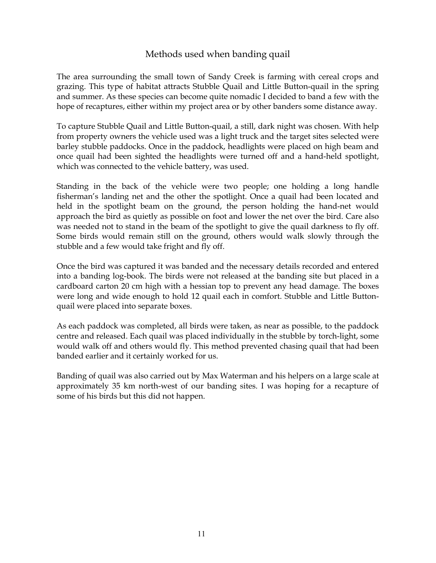### Methods used when banding quail

The area surrounding the small town of Sandy Creek is farming with cereal crops and grazing. This type of habitat attracts Stubble Quail and Little Button-quail in the spring and summer. As these species can become quite nomadic I decided to band a few with the hope of recaptures, either within my project area or by other banders some distance away.

To capture Stubble Quail and Little Button-quail, a still, dark night was chosen. With help from property owners the vehicle used was a light truck and the target sites selected were barley stubble paddocks. Once in the paddock, headlights were placed on high beam and once quail had been sighted the headlights were turned off and a hand-held spotlight, which was connected to the vehicle battery, was used.

Standing in the back of the vehicle were two people; one holding a long handle fisherman's landing net and the other the spotlight. Once a quail had been located and held in the spotlight beam on the ground, the person holding the hand-net would approach the bird as quietly as possible on foot and lower the net over the bird. Care also was needed not to stand in the beam of the spotlight to give the quail darkness to fly off. Some birds would remain still on the ground, others would walk slowly through the stubble and a few would take fright and fly off.

Once the bird was captured it was banded and the necessary details recorded and entered into a banding log-book. The birds were not released at the banding site but placed in a cardboard carton 20 cm high with a hessian top to prevent any head damage. The boxes were long and wide enough to hold 12 quail each in comfort. Stubble and Little Buttonquail were placed into separate boxes.

As each paddock was completed, all birds were taken, as near as possible, to the paddock centre and released. Each quail was placed individually in the stubble by torch-light, some would walk off and others would fly. This method prevented chasing quail that had been banded earlier and it certainly worked for us.

Banding of quail was also carried out by Max Waterman and his helpers on a large scale at approximately 35 km north-west of our banding sites. I was hoping for a recapture of some of his birds but this did not happen.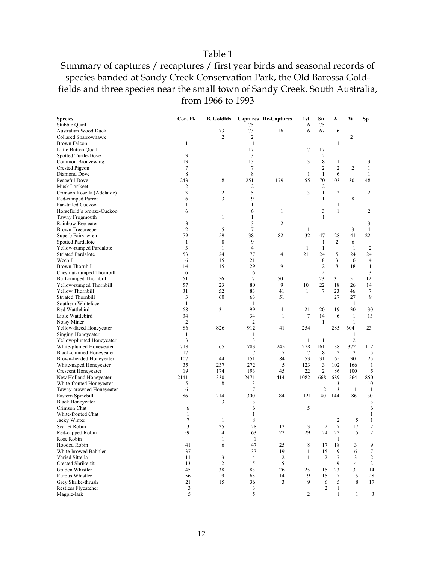### Table 1

### Summary of captures / recaptures / first year birds and seasonal records of species banded at Sandy Creek Conservation Park, the Old Barossa Goldfields and three species near the small town of Sandy Creek, South Australia, from 1966 to 1993

| <b>Species</b>             | Con. Pk        | <b>B.</b> Goldfds |                | Captures Re-Captures | 1st          | Su             | A              | W              | Sp             |
|----------------------------|----------------|-------------------|----------------|----------------------|--------------|----------------|----------------|----------------|----------------|
| Stubble Quail              |                |                   | 75             |                      | 16           | 75             |                |                |                |
| Australian Wood Duck       |                | 73                | 73             | 16                   | 6            | 67             | 6              |                |                |
| Collared Sparrowhawk       |                | $\overline{c}$    | $\overline{2}$ |                      |              |                |                | 2              |                |
| Brown Falcon               | 1              |                   | $\mathbf{1}$   |                      |              |                | 1              |                |                |
| Little Button Quail        |                |                   | 17             |                      | 7            | 17             |                |                |                |
| Spotted Turtle-Dove        | 3              |                   | 3              |                      |              | $\overline{c}$ |                |                | 1              |
| Common Bronzewing          | 13             |                   | 13             |                      | 3            | 8              | $\mathbf{1}$   | $\mathbf{1}$   | 3              |
| Crested Pigeon             | 7              |                   | 7              |                      |              | $\overline{c}$ | $\overline{c}$ | $\overline{2}$ | $\mathbf{1}$   |
| Diamond Dove               | 8              |                   | 8              |                      | 1            | $\mathbf{1}$   | 6              |                | 1              |
| Peaceful Dove              | 243            | 8                 | 251            | 179                  | 55           | 70             | 103            | 30             | 48             |
| Musk Lorikeet              | 2              |                   | 2              |                      |              | $\overline{2}$ |                |                |                |
| Crimson Rosella (Adelaide) | 3              | 2                 | 5              |                      | 3            | $\mathbf{1}$   | $\overline{2}$ |                | $\overline{2}$ |
| Red-rumped Parrot          | 6              | 3                 | 9              |                      |              | 1              |                | 8              |                |
| Fan-tailed Cuckoo          | 1              |                   | 1              |                      |              |                | 1              |                |                |
| Horsefield's bronze-Cuckoo | 6              |                   | 6              | 1                    |              | 3              | $\mathbf{1}$   |                | $\overline{c}$ |
| Tawny Frogmouth            |                | $\mathbf{1}$      | $\mathbf{1}$   |                      |              | $\mathbf{1}$   |                |                |                |
| Rainbow Bee-eater          | 3              |                   | 3              | 2                    |              |                |                |                | 3              |
| <b>Brown Treecreeper</b>   | $\overline{2}$ | 5                 | 7              |                      | 1            |                |                | 3              | $\overline{4}$ |
| Superb Fairy-wren          | 79             | 59                | 138            | 82                   | 32           | 47             | 28             | 41             | 22             |
| Spotted Pardalote          | $\mathbf{1}$   | 8                 | 9              |                      |              | $\mathbf{1}$   | $\overline{2}$ | 6              |                |
| Yellow-rumped Pardalote    | 3              | 1                 | $\overline{4}$ |                      | $\mathbf{1}$ | $\mathbf{1}$   |                | 1              | $\overline{2}$ |
| <b>Striated Pardalote</b>  | 53             | 24                | 77             | 4                    | 21           | 24             | 5              | 24             | 24             |
| Weebill                    | 6              | 15                | 21             | $\mathbf{1}$         |              | 8              | 3              | 6              | $\overline{4}$ |
| <b>Brown Thornbill</b>     | 14             | 15                | 29             | 9                    |              | $\mathbf{2}$   | 8              | 18             | $\mathbf{1}$   |
| Chestnut-rumped Thornbill  | 6              |                   | 6              | $\mathbf{1}$         |              | $\overline{2}$ |                | $\mathbf{1}$   | 3              |
| Buff-rumped Thornbill      | 61             | 56                | 117            | 50                   | 1            | 23             | 31             | 51             | 12             |
| Yellow-rumped Thornbill    | 57             | 23                | 80             | 9                    | 10           | 22             | 18             | 26             | 14             |
| Yellow Thornbill           | 31             | 52                | 83             | 41                   | 1            | 7              | 23             | 46             | 7              |
| <b>Striated Thornbill</b>  | 3              | 60                | 63             | 51                   |              |                | 27             | 27             | 9              |
| Southern Whiteface         | $\mathbf{1}$   |                   | 1              |                      |              |                |                | $\mathbf{1}$   |                |
| Red Wattlebird             | 68             | 31                | 99             | 4                    | 21           | 20             | 19             | 30             | 30             |
| Little Wattlebird          | 34             |                   | 34             | $\mathbf{1}$         | $\tau$       | 14             | 6              | $\mathbf{1}$   | 13             |
| Noisy Miner                | $\sqrt{2}$     |                   | $\overline{c}$ |                      |              | $\mathbf{1}$   |                | $\mathbf{1}$   |                |
| Yellow-faced Honeyeater    | 86             | 826               | 912            | 41                   | 254          |                | 285            | 604            | 23             |
| Singing Honeyeater         | 1              |                   | 1              |                      |              |                |                | 1              |                |
| Yellow-plumed Honeyeater   | 3              |                   | 3              |                      | $\mathbf{1}$ | $\mathbf{1}$   |                | $\sqrt{2}$     |                |
| White-plumed Honeyeater    | 718            | 65                | 783            | 245                  | 278          | 161            | 138            | 372            | 112            |
| Black-chinned Honeyeater   | 17             |                   | 17             | 7                    | 7            | 8              | $\overline{2}$ | 2              | 5              |
| Brown-headed Honeyeater    | 107            | 44                | 151            | 84                   | 53           | 31             | 65             | 30             | 25             |
| White-naped Honeyeater     | 35             | 237               | 272            | 5                    | 123          | 3              | 102            | 166            | -1             |
| <b>Crescent Honeyeater</b> | 19             | 174               | 193            | 45                   | 22           | $\overline{2}$ | 86             | 100            | 5              |
| New Holland Honeyeater     | 2141           | 330               | 2471           | 414                  | 1082         | 668            | 689            | 264            | 850            |
| White-fronted Honeyeater   | 5              | 8                 | 13             |                      |              |                | 3              |                | 10             |
| Tawny-crowned Honeyeater   | 6              | $\mathbf{1}$      | 7              |                      |              | $\mathfrak{2}$ | 3              | 1              | -1             |
| Eastern Spinebill          | 86             | 214               | 300            | 84                   | 121          | 40             | 144            | 86             | 30             |
| <b>Black Honeyeater</b>    |                | 3                 | 3              |                      |              |                |                |                | 3              |
| Crimson Chat               | 6              |                   | 6              |                      | 5            |                |                |                | 6              |
| White-fronted Chat         | 1              |                   | 1              |                      |              |                |                |                | 1              |
| Jacky Winter               | 7              | 1                 | 8              |                      |              |                | 2              | 5              | 1              |
| Scarlet Robin              | 3              | 25                | 28             | 12                   | 3            | $\mathfrak{2}$ | $\tau$         | 17             | $\overline{2}$ |
| Red-capped Robin           | 59             | 4                 | 63             | 22                   | 29           | 24             | 22             | 5              | 12             |
| Rose Robin                 |                | $\mathbf{1}$      | $\mathbf{1}$   |                      |              |                | $\mathbf{1}$   |                |                |
| <b>Hooded Robin</b>        | 41             | 6                 | 47             | 25                   | 8            | 17             | 18             | 3              | 9              |
| White-browed Babbler       | 37             |                   | 37             | 19                   | $\mathbf{1}$ | 15             | 9              | 6              | $\tau$         |
| Varied Sittella            | 11             | 3                 | 14             | $\sqrt{2}$           | 1            | 2              | $\tau$         | 3              | $\sqrt{2}$     |
| Crested Shrike-tit         | 13             | $\overline{c}$    | 15             | 5                    |              |                | 9              | 4              | $\overline{c}$ |
| Golden Whistler            | 45             | 38                | 83             | 26                   | 25           | 15             | 23             | 31             | 14             |
| <b>Rufous Whistler</b>     | 56             | 9                 | 65             | 14                   | 19           | 15             | $\tau$         | 15             | 28             |
| Grey Shrike-thrush         | 21             | 15                | 36             | 3                    | 9            | 6              | 5              | 8              | 17             |
| Restless Flycatcher        | 3              |                   | 3              |                      |              | 2              | $\mathbf{1}$   |                |                |
| Magpie-lark                | 5              |                   | 5              |                      | 2            |                | 1              | $\mathbf{1}$   | 3              |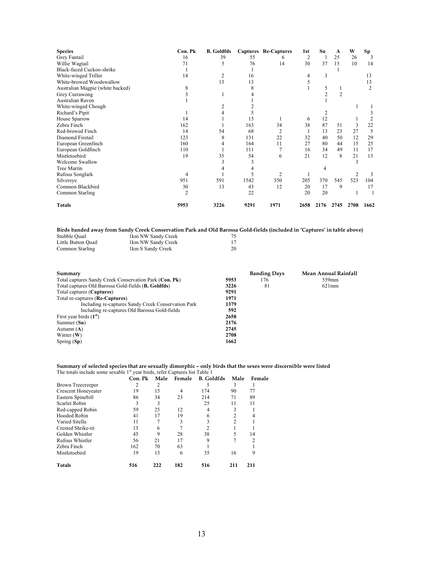| <b>Species</b>                   | Con. Pk        | <b>B.</b> Goldfds |      | <b>Captures Re-Captures</b> | 1st  | Su   | A              | W    | Sp             |
|----------------------------------|----------------|-------------------|------|-----------------------------|------|------|----------------|------|----------------|
| Grey Fantail                     | 16             | 39                | 55   | 6                           | 2    |      | 25             | 26   | 3              |
| Willie Wagtail                   | 71             | 5                 | 76   | 14                          | 30   | 37   | 15             | 10   | 14             |
| Black-faced Cuckoo-shrike        |                |                   |      |                             |      |      |                |      |                |
| White-winged Triller             | 14             | 2                 | 16   |                             | 4    | 3    |                |      | 13             |
| White-browed Woodswallow         |                | 13                | 13   |                             |      |      |                |      | 13             |
| Australian Magpie (white backed) | 8              |                   | 8    |                             |      | 5    |                |      | $\overline{2}$ |
| Grey Currawong                   |                |                   |      |                             |      |      | $\overline{2}$ |      |                |
| Australian Raven                 |                |                   |      |                             |      |      |                |      |                |
| White-winged Chough              |                |                   |      |                             |      |      |                |      |                |
| Richard's Pipit                  |                |                   | 5    |                             |      |      |                |      |                |
| House Sparrow                    | 14             |                   | 15   |                             | 6    | 12   |                |      |                |
| Zebra Finch                      | 162            |                   | 163  | 34                          | 38   | 87   | 51             | 3    | 22             |
| Red-browed Finch                 | 14             | 54                | 68   | 2                           |      | 13   | 23             | 27   | 5              |
| Diamond Firetail                 | 123            | 8                 | 131  | 22                          | 32   | 40   | 50             | 12   | 29             |
| European Greenfinch              | 160            | 4                 | 164  | 11                          | 27   | 80   | 44             | 15   | 25             |
| European Goldfinch               | 110            |                   | 111  |                             | 16   | 34   | 49             | 11   | 17             |
| Mistletoebird                    | 19             | 35                | 54   | 6                           | 21   | 12   | 8              | 21   | 13             |
| <b>Welcome Swallow</b>           |                |                   | 3    |                             |      |      |                | 3    |                |
| <b>Tree Martin</b>               |                |                   | 4    |                             |      | 4    |                |      |                |
| Rufous Songlark                  | 4              |                   |      | $\overline{c}$              |      |      |                | 2    | 3              |
| Silvereye                        | 951            | 591               | 1542 | 350                         | 205  | 370  | 545            | 523  | 104            |
| Common Blackbird                 | 30             | 13                | 43   | 12                          | 20   | 17   | 9              |      | 17             |
| Common Starling                  | $\overline{2}$ |                   | 22   |                             | 20   | 20   |                |      |                |
| <b>Totals</b>                    | 5953           | 3226              | 9291 | 1971                        | 2658 | 2176 | 2745           | 2708 | 1662           |

|                     | Birds banded away from Sandy Creek Conservation Park and Old Barossa Gold-fields (included in 'Captures' in table above) |  |
|---------------------|--------------------------------------------------------------------------------------------------------------------------|--|
| Stubble Quail       | 1km NW Sandy Creek                                                                                                       |  |
| Little Button Ouail | 1km NW Sandy Creek                                                                                                       |  |
| Common Starling     | 1km S Sandy Creek                                                                                                        |  |

| Summary                                                      |      | <b>Banding Days</b> | Mean Annual Rainfall |
|--------------------------------------------------------------|------|---------------------|----------------------|
| Total captures Sandy Creek Conservation Park (Con. Pk)       | 5953 | 176                 | 559mm                |
| Total captures Old Barossa Gold-fields ( <b>B. Goldfds</b> ) | 3226 | 81                  | 621mm                |
| Total captures (Captures)                                    | 9291 |                     |                      |
| Total re-captures ( <b>Re-Captures</b> )                     | 1971 |                     |                      |
| Including re-captures Sandy Creek Conservation Park          | 1379 |                     |                      |
| Including re-captures Old Barossa Gold-fields                | 592  |                     |                      |
| First year birds $(1st)$                                     | 2658 |                     |                      |
| Summer (Su)                                                  | 2176 |                     |                      |
| Autumn $(A)$                                                 | 2745 |                     |                      |
| Winter $(W)$                                                 | 2708 |                     |                      |
| Spring $(Sp)$                                                | 1662 |                     |                      |

## **Summary of selected species that are sexually dimorphic – only birds that the sexes were discernible were listed**<br>The totals include some sexable 1<sup>st</sup> year birds, refer Captures list Table 1

|                     | Con. Pk | Male | Female | <b>B.</b> Goldfds | Male | Female |
|---------------------|---------|------|--------|-------------------|------|--------|
| Brown Treecreeper   | 2       | 2    |        |                   | 3    |        |
| Crescent Honeyeater | 19      | 15   |        | 174               | 90   | 77     |
| Eastern Spinebill   | 86      | 34   | 23     | 214               | 71   | 89     |
| Scarlet Robin       | 3       | 3    |        | 25                | 11   | 11     |
| Red-capped Robin    | 59      | 25   | 12     | 4                 |      |        |
| Hooded Robin        | 41      | 17   | 19     |                   | 2    |        |
| Varied Sitella      | 11      |      |        |                   | 2    |        |
| Crested Shrike-tit  | 13      | 6    |        |                   |      |        |
| Golden Whistler     | 45      | 9    | 28     | 38                | 5    | 14     |
| Rufous Whistler     | 56      | 21   | 17     | 9                 |      | 2      |
| Zebra Finch         | 162     | 70   | 63     |                   |      |        |
| Mistletoebird       | 19      | 13   | 6      | 35                | 16   | 9      |
| <b>Totals</b>       | 516     | 222  | 182    | 516               | 211  | 211    |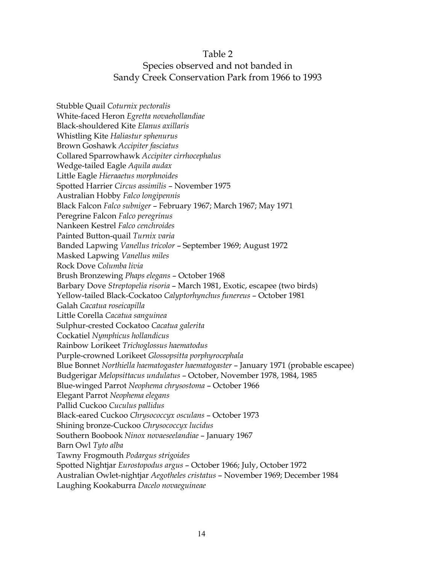### Table 2

### Species observed and not banded in Sandy Creek Conservation Park from 1966 to 1993

Stubble Quail *Coturnix pectoralis* White-faced Heron *Egretta novaehollandiae* Black-shouldered Kite *Elanus axillaris*  Whistling Kite *Haliastur sphenurus* Brown Goshawk *Accipiter fasciatus* Collared Sparrowhawk *Accipiter cirrhocephalus* Wedge-tailed Eagle *Aquila audax* Little Eagle *Hieraaetus morphnoides* Spotted Harrier *Circus assimilis* – November 1975 Australian Hobby *Falco longipennis* Black Falcon *Falco subniger* – February 1967; March 1967; May 1971 Peregrine Falcon *Falco peregrinus* Nankeen Kestrel *Falco cenchroides* Painted Button-quail *Turnix varia* Banded Lapwing *Vanellus tricolor* – September 1969; August 1972 Masked Lapwing *Vanellus miles* Rock Dove *Columba livia* Brush Bronzewing *Phaps elegans* – October 1968 Barbary Dove *Streptopelia risoria* – March 1981, Exotic, escapee (two birds) Yellow-tailed Black-Cockatoo *Calyptorhynchus funereus* – October 1981 Galah *Cacatua roseicapilla* Little Corella *Cacatua sanguinea* Sulphur-crested Cockatoo *Cacatua galerita* Cockatiel *Nymphicus hollandicus* Rainbow Lorikeet *Trichoglossus haematodus* Purple-crowned Lorikeet *Glossopsitta porphyrocephala* Blue Bonnet *Northiella haematogaster haematogaster* – January 1971 (probable escapee) Budgerigar *Melopsittacus undulatus* – October, November 1978, 1984, 1985 Blue-winged Parrot *Neophema chrysostoma* – October 1966 Elegant Parrot *Neophema elegans* Pallid Cuckoo *Cuculus pallidus* Black-eared Cuckoo *Chrysococcyx osculans* – October 1973 Shining bronze-Cuckoo *Chrysococcyx lucidus* Southern Boobook *Ninox novaeseelandiae* – January 1967 Barn Owl *Tyto alba* Tawny Frogmouth *Podargus strigoides* Spotted Nightjar *Eurostopodus argus* – October 1966; July, October 1972 Australian Owlet-nightjar *Aegotheles cristatus* – November 1969; December 1984 Laughing Kookaburra *Dacelo novaeguineae*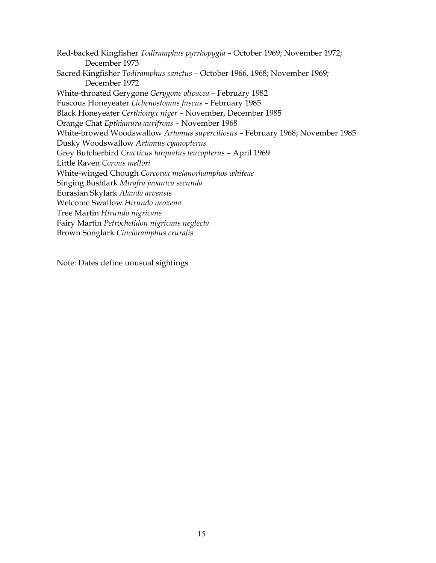Red-backed Kingfisher *Todiramphus pyrrhopygia* – October 1969; November 1972; December 1973 Sacred Kingfisher *Todiramphus sanctus* – October 1966, 1968; November 1969; December 1972 White-throated Gerygone *Gerygone olivacea* – February 1982 Fuscous Honeyeater *Lichenostomus fuscus* – February 1985 Black Honeyeater *Certhionyx niger* – November, December 1985 Orange Chat *Epthianura aurifrons* – November 1968 White-browed Woodswallow *Artamus superciliosus* – February 1968; November 1985 Dusky Woodswallow *Artamus cyanopterus* Grey Butcherbird *Cracticus torquatus leucopterus* – April 1969 Little Raven *Corvus mellori* White-winged Chough *Corcorax melanorhamphos whiteae* Singing Bushlark *Mirafra javanica secunda* Eurasian Skylark *Alauda arvensis* Welcome Swallow *Hirundo neoxena* Tree Martin *Hirundo nigricans* Fairy Martin *Petrochelidon nigricans neglecta*  Brown Songlark *Cincloramphus cruralis*

Note: Dates define unusual sightings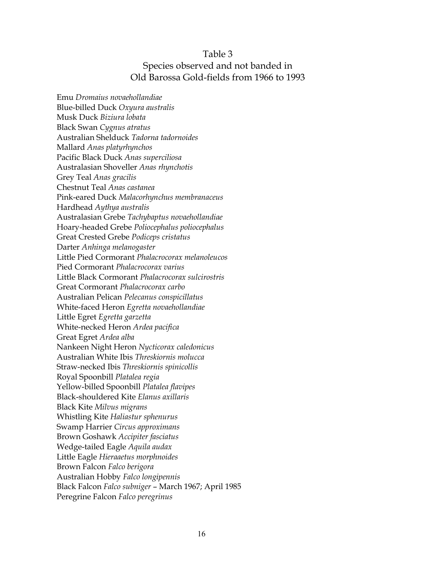### Table 3 Species observed and not banded in Old Barossa Gold-fields from 1966 to 1993

Emu *Dromaius novaehollandiae*  Blue-billed Duck *Oxyura australis* Musk Duck *Biziura lobata* Black Swan *Cygnus atratus* Australian Shelduck *Tadorna tadornoides* Mallard *Anas platyrhynchos* Pacific Black Duck *Anas superciliosa* Australasian Shoveller *Anas rhynchotis* Grey Teal *Anas gracilis* Chestnut Teal *Anas castanea* Pink-eared Duck *Malacorhynchus membranaceus* Hardhead *Aythya australis* Australasian Grebe *Tachybaptus novaehollandiae* Hoary-headed Grebe *Poliocephalus poliocephalus* Great Crested Grebe *Podiceps cristatus* Darter *Anhinga melanogaster* Little Pied Cormorant *Phalacrocorax melanoleucos* Pied Cormorant *Phalacrocorax varius* Little Black Cormorant *Phalacrocorax sulcirostris* Great Cormorant *Phalacrocorax carbo* Australian Pelican *Pelecanus conspicillatus* White-faced Heron *Egretta novaehollandiae* Little Egret *Egretta garzetta* White-necked Heron *Ardea pacifica*  Great Egret *Ardea alba* Nankeen Night Heron *Nycticorax caledonicus* Australian White Ibis *Threskiornis molucca* Straw-necked Ibis *Threskiornis spinicollis* Royal Spoonbill *Platalea regia* Yellow-billed Spoonbill *Platalea flavipes* Black-shouldered Kite *Elanus axillaris* Black Kite *Milvus migrans* Whistling Kite *Haliastur sphenurus* Swamp Harrier *Circus approximans* Brown Goshawk *Accipiter fasciatus* Wedge-tailed Eagle *Aquila audax* Little Eagle *Hieraaetus morphnoides* Brown Falcon *Falco berigora*  Australian Hobby *Falco longipennis* Black Falcon *Falco subniger* – March 1967; April 1985 Peregrine Falcon *Falco peregrinus*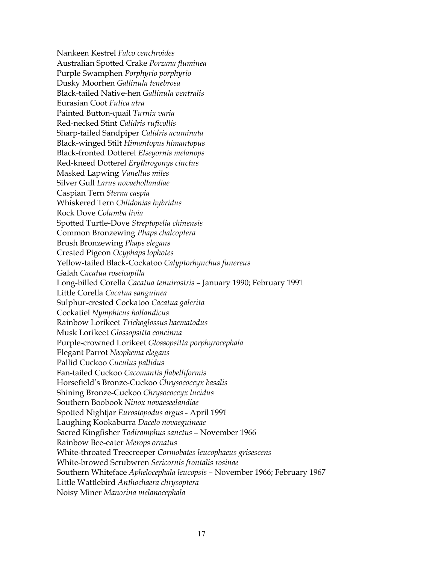Nankeen Kestrel *Falco cenchroides* Australian Spotted Crake *Porzana fluminea* Purple Swamphen *Porphyrio porphyrio* Dusky Moorhen *Gallinula tenebrosa* Black-tailed Native-hen *Gallinula ventralis* Eurasian Coot *Fulica atra* Painted Button-quail *Turnix varia* Red-necked Stint *Calidris ruficollis* Sharp-tailed Sandpiper *Calidris acuminata* Black-winged Stilt *Himantopus himantopus* Black-fronted Dotterel *Elseyornis melanops* Red-kneed Dotterel *Erythrogonys cinctus* Masked Lapwing *Vanellus miles* Silver Gull *Larus novaehollandiae* Caspian Tern *Sterna caspia* Whiskered Tern *Chlidonias hybridus* Rock Dove *Columba livia* Spotted Turtle-Dove *Streptopelia chinensis* Common Bronzewing *Phaps chalcoptera* Brush Bronzewing *Phaps elegans* Crested Pigeon *Ocyphaps lophotes* Yellow-tailed Black-Cockatoo *Calyptorhynchus funereus* Galah *Cacatua roseicapilla* Long-billed Corella *Cacatua tenuirostris* – January 1990; February 1991 Little Corella *Cacatua sanguinea* Sulphur-crested Cockatoo *Cacatua galerita* Cockatiel *Nymphicus hollandicus* Rainbow Lorikeet *Trichoglossus haematodus* Musk Lorikeet *Glossopsitta concinna* Purple-crowned Lorikeet *Glossopsitta porphyrocephala* Elegant Parrot *Neophema elegans*  Pallid Cuckoo *Cuculus pallidus* Fan-tailed Cuckoo *Cacomantis flabelliformis* Horsefield's Bronze-Cuckoo *Chrysococcyx basalis* Shining Bronze-Cuckoo *Chrysococcyx lucidus* Southern Boobook *Ninox novaeseelandiae* Spotted Nightjar *Eurostopodus argus* - April 1991 Laughing Kookaburra *Dacelo novaeguineae* Sacred Kingfisher *Todiramphus sanctus* – November 1966 Rainbow Bee-eater *Merops ornatus* White-throated Treecreeper *Cormobates leucophaeus grisescens* White-browed Scrubwren *Sericornis frontalis rosinae* Southern Whiteface *Aphelocephala leucopsis* – November 1966; February 1967 Little Wattlebird *Anthochaera chrysoptera* Noisy Miner *Manorina melanocephala*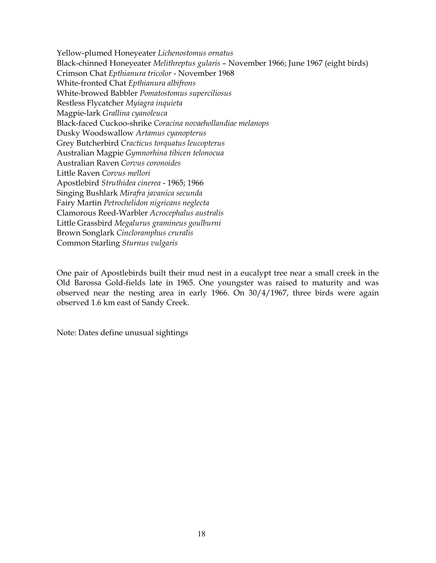Yellow-plumed Honeyeater *Lichenostomus ornatus* Black-chinned Honeyeater *Melithreptus gularis* – November 1966; June 1967 (eight birds) Crimson Chat *Epthianura tricolor* - November 1968 White-fronted Chat *Epthianura albifrons* White-browed Babbler *Pomatostomus superciliosus* Restless Flycatcher *Myiagra inquieta* Magpie-lark *Grallina cyanoleuca* Black-faced Cuckoo-shrike *Coracina novaehollandiae melanops* Dusky Woodswallow *Artamus cyanopterus* Grey Butcherbird *Cracticus torquatus leucopterus* Australian Magpie *Gymnorhina tibicen telonocua* Australian Raven *Corvus coronoides* Little Raven *Corvus mellori* Apostlebird *Struthidea cinerea* - 1965; 1966 Singing Bushlark *Mirafra javanica secunda* Fairy Martin *Petrochelidon nigricans neglecta*  Clamorous Reed-Warbler *Acrocephalus australis* Little Grassbird *Megalurus gramineus goulburni* Brown Songlark *Cincloramphus cruralis* Common Starling *Sturnus vulgaris*

One pair of Apostlebirds built their mud nest in a eucalypt tree near a small creek in the Old Barossa Gold-fields late in 1965. One youngster was raised to maturity and was observed near the nesting area in early 1966. On 30/4/1967, three birds were again observed 1.6 km east of Sandy Creek.

Note: Dates define unusual sightings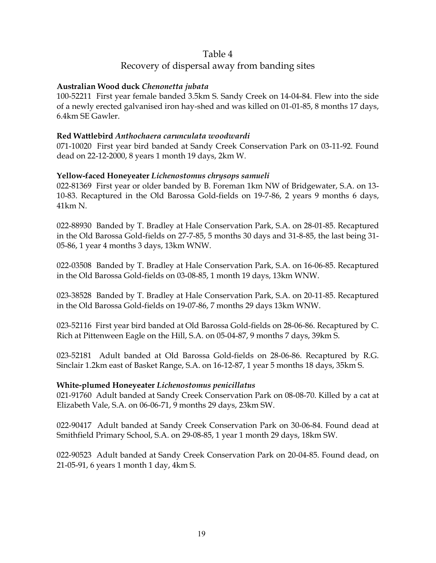### Table 4 Recovery of dispersal away from banding sites

### **Australian Wood duck** *Chenonetta jubata*

100-52211 First year female banded 3.5km S. Sandy Creek on 14-04-84. Flew into the side of a newly erected galvanised iron hay-shed and was killed on 01-01-85, 8 months 17 days, 6.4km SE Gawler.

### **Red Wattlebird** *Anthochaera carunculata woodwardi*

071-10020 First year bird banded at Sandy Creek Conservation Park on 03-11-92. Found dead on 22-12-2000, 8 years 1 month 19 days, 2km W.

### **Yellow-faced Honeyeater** *Lichenostomus chrysops samueli*

022-81369 First year or older banded by B. Foreman 1km NW of Bridgewater, S.A. on 13- 10-83. Recaptured in the Old Barossa Gold-fields on 19-7-86, 2 years 9 months 6 days, 41km N.

022-88930 Banded by T. Bradley at Hale Conservation Park, S.A. on 28-01-85. Recaptured in the Old Barossa Gold-fields on 27-7-85, 5 months 30 days and 31-8-85, the last being 31- 05-86, 1 year 4 months 3 days, 13km WNW.

022-03508 Banded by T. Bradley at Hale Conservation Park, S.A. on 16-06-85. Recaptured in the Old Barossa Gold-fields on 03-08-85, 1 month 19 days, 13km WNW.

023-38528 Banded by T. Bradley at Hale Conservation Park, S.A. on 20-11-85. Recaptured in the Old Barossa Gold-fields on 19-07-86, 7 months 29 days 13km WNW.

023-52116 First year bird banded at Old Barossa Gold-fields on 28-06-86. Recaptured by C. Rich at Pittenween Eagle on the Hill, S.A. on 05-04-87, 9 months 7 days, 39km S.

023-52181 Adult banded at Old Barossa Gold-fields on 28-06-86. Recaptured by R.G. Sinclair 1.2km east of Basket Range, S.A. on 16-12-87, 1 year 5 months 18 days, 35km S.

### **White-plumed Honeyeater** *Lichenostomus penicillatus*

021-91760 Adult banded at Sandy Creek Conservation Park on 08-08-70. Killed by a cat at Elizabeth Vale, S.A. on 06-06-71, 9 months 29 days, 23km SW.

022-90417 Adult banded at Sandy Creek Conservation Park on 30-06-84. Found dead at Smithfield Primary School, S.A. on 29-08-85, 1 year 1 month 29 days, 18km SW.

022-90523 Adult banded at Sandy Creek Conservation Park on 20-04-85. Found dead, on 21-05-91, 6 years 1 month 1 day, 4km S.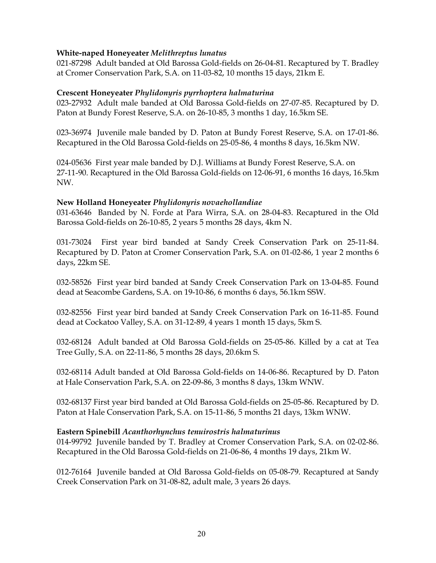### **White-naped Honeyeater** *Melithreptus lunatus*

021-87298 Adult banded at Old Barossa Gold-fields on 26-04-81. Recaptured by T. Bradley at Cromer Conservation Park, S.A. on 11-03-82, 10 months 15 days, 21km E.

### **Crescent Honeyeater** *Phylidonyris pyrrhoptera halmaturina*

023-27932 Adult male banded at Old Barossa Gold-fields on 27-07-85. Recaptured by D. Paton at Bundy Forest Reserve, S.A. on 26-10-85, 3 months 1 day, 16.5km SE.

023-36974 Juvenile male banded by D. Paton at Bundy Forest Reserve, S.A. on 17-01-86. Recaptured in the Old Barossa Gold-fields on 25-05-86, 4 months 8 days, 16.5km NW.

024-05636 First year male banded by D.J. Williams at Bundy Forest Reserve, S.A. on 27-11-90. Recaptured in the Old Barossa Gold-fields on 12-06-91, 6 months 16 days, 16.5km NW.

### **New Holland Honeyeater** *Phylidonyris novaehollandiae*

031-63646 Banded by N. Forde at Para Wirra, S.A. on 28-04-83. Recaptured in the Old Barossa Gold-fields on 26-10-85, 2 years 5 months 28 days, 4km N.

031-73024 First year bird banded at Sandy Creek Conservation Park on 25-11-84. Recaptured by D. Paton at Cromer Conservation Park, S.A. on 01-02-86, 1 year 2 months 6 days, 22km SE.

032-58526 First year bird banded at Sandy Creek Conservation Park on 13-04-85. Found dead at Seacombe Gardens, S.A. on 19-10-86, 6 months 6 days, 56.1km SSW.

032-82556 First year bird banded at Sandy Creek Conservation Park on 16-11-85. Found dead at Cockatoo Valley, S.A. on 31-12-89, 4 years 1 month 15 days, 5km S.

032-68124 Adult banded at Old Barossa Gold-fields on 25-05-86. Killed by a cat at Tea Tree Gully, S.A. on 22-11-86, 5 months 28 days, 20.6km S.

032-68114 Adult banded at Old Barossa Gold-fields on 14-06-86. Recaptured by D. Paton at Hale Conservation Park, S.A. on 22-09-86, 3 months 8 days, 13km WNW.

032-68137 First year bird banded at Old Barossa Gold-fields on 25-05-86. Recaptured by D. Paton at Hale Conservation Park, S.A. on 15-11-86, 5 months 21 days, 13km WNW.

### **Eastern Spinebill** *Acanthorhynchus tenuirostris halmaturinus*

014-99792 Juvenile banded by T. Bradley at Cromer Conservation Park, S.A. on 02-02-86. Recaptured in the Old Barossa Gold-fields on 21-06-86, 4 months 19 days, 21km W.

012-76164 Juvenile banded at Old Barossa Gold-fields on 05-08-79. Recaptured at Sandy Creek Conservation Park on 31-08-82, adult male, 3 years 26 days.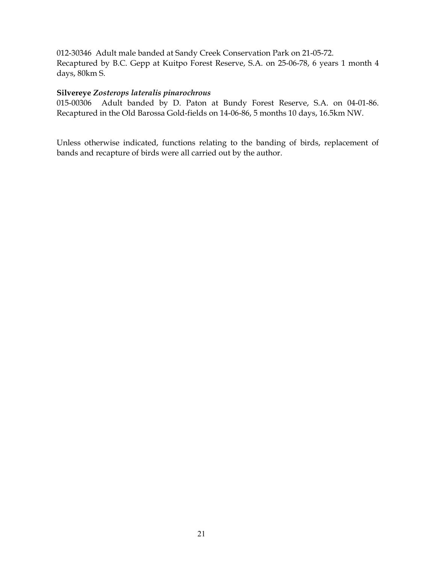012-30346 Adult male banded at Sandy Creek Conservation Park on 21-05-72. Recaptured by B.C. Gepp at Kuitpo Forest Reserve, S.A. on 25-06-78, 6 years 1 month 4 days, 80km S.

### **Silvereye** *Zosterops lateralis pinarochrous*

015-00306 Adult banded by D. Paton at Bundy Forest Reserve, S.A. on 04-01-86. Recaptured in the Old Barossa Gold-fields on 14-06-86, 5 months 10 days, 16.5km NW.

Unless otherwise indicated, functions relating to the banding of birds, replacement of bands and recapture of birds were all carried out by the author.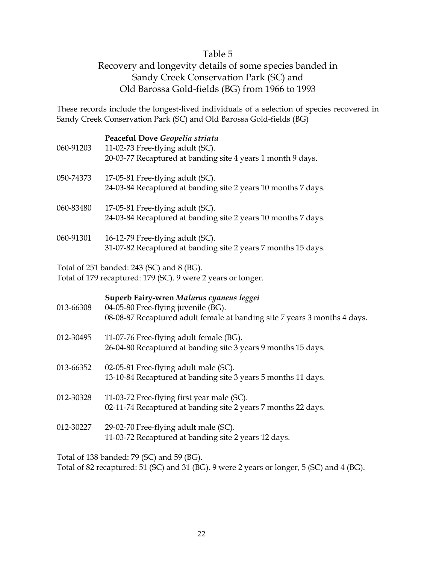### Table 5

### Recovery and longevity details of some species banded in Sandy Creek Conservation Park (SC) and Old Barossa Gold-fields (BG) from 1966 to 1993

These records include the longest-lived individuals of a selection of species recovered in Sandy Creek Conservation Park (SC) and Old Barossa Gold-fields (BG)

| 060-91203 | Peaceful Dove Geopelia striata<br>11-02-73 Free-flying adult (SC).<br>20-03-77 Recaptured at banding site 4 years 1 month 9 days.                            |
|-----------|--------------------------------------------------------------------------------------------------------------------------------------------------------------|
| 050-74373 | 17-05-81 Free-flying adult (SC).<br>24-03-84 Recaptured at banding site 2 years 10 months 7 days.                                                            |
| 060-83480 | 17-05-81 Free-flying adult (SC).<br>24-03-84 Recaptured at banding site 2 years 10 months 7 days.                                                            |
| 060-91301 | 16-12-79 Free-flying adult (SC).<br>31-07-82 Recaptured at banding site 2 years 7 months 15 days.                                                            |
|           | Total of 251 banded: 243 (SC) and 8 (BG).<br>Total of 179 recaptured: 179 (SC). 9 were 2 years or longer.                                                    |
| 013-66308 | Superb Fairy-wren Malurus cyaneus leggei<br>04-05-80 Free-flying juvenile (BG).<br>08-08-87 Recaptured adult female at banding site 7 years 3 months 4 days. |
| 012-30495 | 11-07-76 Free-flying adult female (BG).<br>26-04-80 Recaptured at banding site 3 years 9 months 15 days.                                                     |
| 013-66352 | 02-05-81 Free-flying adult male (SC).<br>13-10-84 Recaptured at banding site 3 years 5 months 11 days.                                                       |
| 012-30328 | 11-03-72 Free-flying first year male (SC).<br>02-11-74 Recaptured at banding site 2 years 7 months 22 days.                                                  |
| 012-30227 | 29-02-70 Free-flying adult male (SC).<br>11-03-72 Recaptured at banding site 2 years 12 days.                                                                |

Total of 138 banded: 79 (SC) and 59 (BG).

Total of 82 recaptured: 51 (SC) and 31 (BG). 9 were 2 years or longer, 5 (SC) and 4 (BG).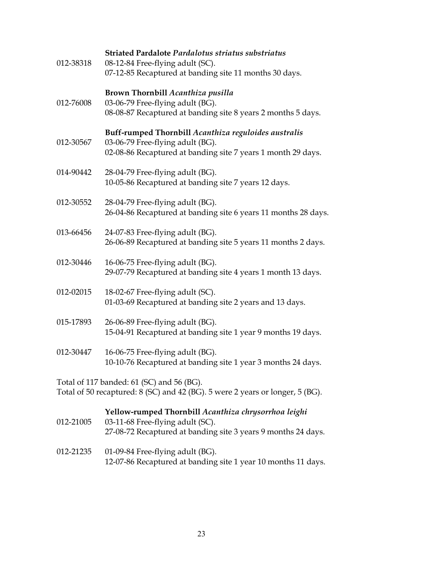|           | Striated Pardalote Pardalotus striatus substriatus                                                |
|-----------|---------------------------------------------------------------------------------------------------|
| 012-38318 | 08-12-84 Free-flying adult (SC).                                                                  |
|           | 07-12-85 Recaptured at banding site 11 months 30 days.                                            |
|           | Brown Thornbill Acanthiza pusilla                                                                 |
| 012-76008 | 03-06-79 Free-flying adult (BG).                                                                  |
|           | 08-08-87 Recaptured at banding site 8 years 2 months 5 days.                                      |
|           |                                                                                                   |
|           | Buff-rumped Thornbill Acanthiza reguloides australis                                              |
| 012-30567 | 03-06-79 Free-flying adult (BG).                                                                  |
|           | 02-08-86 Recaptured at banding site 7 years 1 month 29 days.                                      |
| 014-90442 | 28-04-79 Free-flying adult (BG).                                                                  |
|           | 10-05-86 Recaptured at banding site 7 years 12 days.                                              |
|           |                                                                                                   |
| 012-30552 | 28-04-79 Free-flying adult (BG).                                                                  |
|           | 26-04-86 Recaptured at banding site 6 years 11 months 28 days.                                    |
|           |                                                                                                   |
| 013-66456 | 24-07-83 Free-flying adult (BG).                                                                  |
|           | 26-06-89 Recaptured at banding site 5 years 11 months 2 days.                                     |
| 012-30446 | 16-06-75 Free-flying adult (BG).                                                                  |
|           | 29-07-79 Recaptured at banding site 4 years 1 month 13 days.                                      |
|           |                                                                                                   |
| 012-02015 | 18-02-67 Free-flying adult (SC).                                                                  |
|           | 01-03-69 Recaptured at banding site 2 years and 13 days.                                          |
|           |                                                                                                   |
| 015-17893 | 26-06-89 Free-flying adult (BG).                                                                  |
|           | 15-04-91 Recaptured at banding site 1 year 9 months 19 days.                                      |
| 012-30447 | 16-06-75 Free-flying adult (BG).                                                                  |
|           | 10-10-76 Recaptured at banding site 1 year 3 months 24 days.                                      |
|           |                                                                                                   |
|           | Total of 117 banded: 61 (SC) and 56 (BG).                                                         |
|           | Total of 50 recaptured: 8 (SC) and 42 (BG). 5 were 2 years or longer, 5 (BG).                     |
|           |                                                                                                   |
|           | Yellow-rumped Thornbill Acanthiza chrysorrhoa leighi                                              |
| 012-21005 | 03-11-68 Free-flying adult (SC).<br>27-08-72 Recaptured at banding site 3 years 9 months 24 days. |
|           |                                                                                                   |
|           |                                                                                                   |

012-21235 01-09-84 Free-flying adult (BG). 12-07-86 Recaptured at banding site 1 year 10 months 11 days.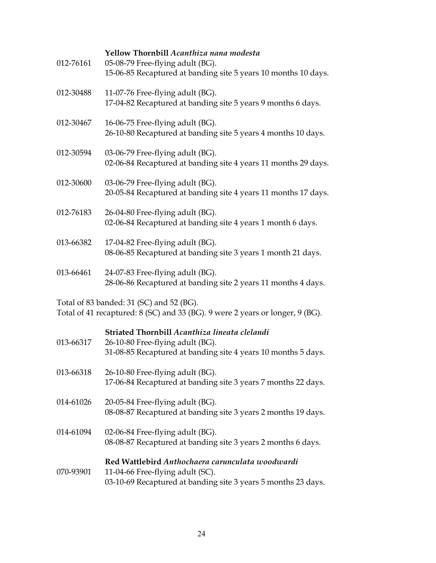| 012-76161 | Yellow Thornbill Acanthiza nana modesta<br>05-08-79 Free-flying adult (BG).<br>15-06-85 Recaptured at banding site 5 years 10 months 10 days. |
|-----------|-----------------------------------------------------------------------------------------------------------------------------------------------|
| 012-30488 | 11-07-76 Free-flying adult (BG).<br>17-04-82 Recaptured at banding site 5 years 9 months 6 days.                                              |
| 012-30467 | 16-06-75 Free-flying adult (BG).<br>26-10-80 Recaptured at banding site 5 years 4 months 10 days.                                             |
| 012-30594 | 03-06-79 Free-flying adult (BG).<br>02-06-84 Recaptured at banding site 4 years 11 months 29 days.                                            |
| 012-30600 | 03-06-79 Free-flying adult (BG).<br>20-05-84 Recaptured at banding site 4 years 11 months 17 days.                                            |
| 012-76183 | 26-04-80 Free-flying adult (BG).<br>02-06-84 Recaptured at banding site 4 years 1 month 6 days.                                               |
| 013-66382 | 17-04-82 Free-flying adult (BG).<br>08-06-85 Recaptured at banding site 3 years 1 month 21 days.                                              |
| 013-66461 | 24-07-83 Free-flying adult (BG).<br>28-06-86 Recaptured at banding site 2 years 11 months 4 days.                                             |
|           | Total of 83 handed: $31$ (SC) and 52 (BC)                                                                                                     |

Total of 83 banded: 31 (SC) and 52 (BG). Total of 41 recaptured: 8 (SC) and 33 (BG). 9 were 2 years or longer, 9 (BG).

### **Striated Thornbill** *Acanthiza lineata clelandi*

| 013-66317 | 26-10-80 Free-flying adult (BG).<br>31-08-85 Recaptured at banding site 4 years 10 months 5 days.                                                     |
|-----------|-------------------------------------------------------------------------------------------------------------------------------------------------------|
| 013-66318 | 26-10-80 Free-flying adult (BG).<br>17-06-84 Recaptured at banding site 3 years 7 months 22 days.                                                     |
| 014-61026 | 20-05-84 Free-flying adult (BG).<br>08-08-87 Recaptured at banding site 3 years 2 months 19 days.                                                     |
| 014-61094 | 02-06-84 Free-flying adult (BG).<br>08-08-87 Recaptured at banding site 3 years 2 months 6 days.                                                      |
| 070-93901 | Red Wattlebird Anthochaera carunculata woodwardi<br>11-04-66 Free-flying adult (SC).<br>03-10-69 Recaptured at banding site 3 years 5 months 23 days. |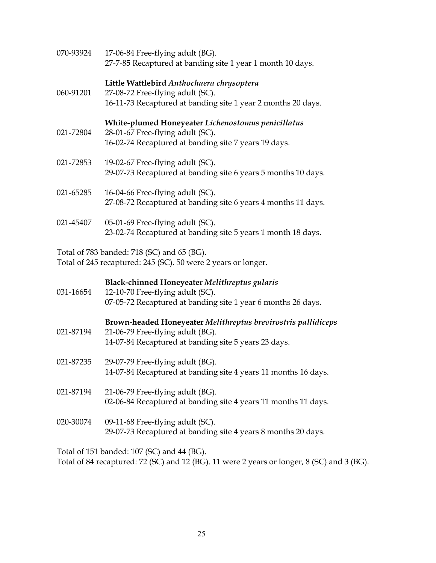| 070-93924 | 17-06-84 Free-flying adult (BG).<br>27-7-85 Recaptured at banding site 1 year 1 month 10 days.                                                            |
|-----------|-----------------------------------------------------------------------------------------------------------------------------------------------------------|
| 060-91201 | Little Wattlebird Anthochaera chrysoptera<br>27-08-72 Free-flying adult (SC).<br>16-11-73 Recaptured at banding site 1 year 2 months 20 days.             |
| 021-72804 | White-plumed Honeyeater Lichenostomus penicillatus<br>28-01-67 Free-flying adult (SC).<br>16-02-74 Recaptured at banding site 7 years 19 days.            |
| 021-72853 | 19-02-67 Free-flying adult (SC).<br>29-07-73 Recaptured at banding site 6 years 5 months 10 days.                                                         |
| 021-65285 | 16-04-66 Free-flying adult (SC).<br>27-08-72 Recaptured at banding site 6 years 4 months 11 days.                                                         |
| 021-45407 | 05-01-69 Free-flying adult (SC).<br>23-02-74 Recaptured at banding site 5 years 1 month 18 days.                                                          |
|           | Total of 783 banded: 718 (SC) and 65 (BG).<br>Total of 245 recaptured: 245 (SC). 50 were 2 years or longer.                                               |
| 031-16654 | Black-chinned Honeyeater Melithreptus gularis<br>12-10-70 Free-flying adult (SC).<br>07-05-72 Recaptured at banding site 1 year 6 months 26 days.         |
| 021-87194 | Brown-headed Honeyeater Melithreptus brevirostris pallidiceps<br>21-06-79 Free-flying adult (BG).<br>14-07-84 Recaptured at banding site 5 years 23 days. |
| 021-87235 | 29-07-79 Free-flying adult (BG).<br>14-07-84 Recaptured at banding site 4 years 11 months 16 days.                                                        |
| 021-87194 | 21-06-79 Free-flying adult (BG).<br>02-06-84 Recaptured at banding site 4 years 11 months 11 days.                                                        |
| 020-30074 | 09-11-68 Free-flying adult (SC).<br>29-07-73 Recaptured at banding site 4 years 8 months 20 days.                                                         |
|           |                                                                                                                                                           |

Total of 151 banded: 107 (SC) and 44 (BG).

Total of 84 recaptured:  $72$  (SC) and  $12$  (BG). 11 were 2 years or longer, 8 (SC) and 3 (BG).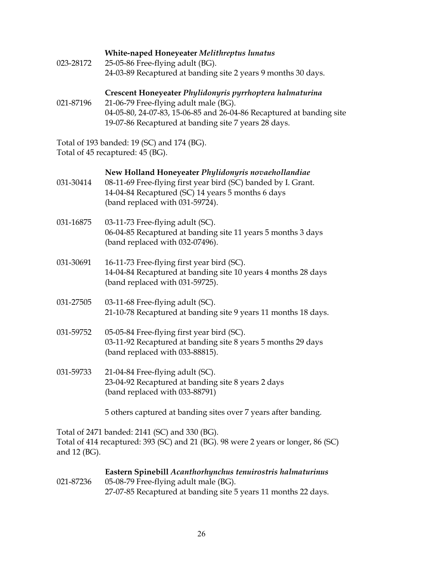### **White-naped Honeyeater** *Melithreptus lunatus*

023-28172 25-05-86 Free-flying adult (BG). 24-03-89 Recaptured at banding site 2 years 9 months 30 days.

### **Crescent Honeyeater** *Phylidonyris pyrrhoptera halmaturina*

021-87196 21-06-79 Free-flying adult male (BG). 04-05-80, 24-07-83, 15-06-85 and 26-04-86 Recaptured at banding site 19-07-86 Recaptured at banding site 7 years 28 days.

Total of 193 banded: 19 (SC) and 174 (BG). Total of 45 recaptured: 45 (BG).

|  |  |  |  |  |  | New Holland Honeyeater Phylidonyris novaehollandiae |
|--|--|--|--|--|--|-----------------------------------------------------|
|--|--|--|--|--|--|-----------------------------------------------------|

| 031-30414 | 08-11-69 Free-flying first year bird (SC) banded by I. Grant. |
|-----------|---------------------------------------------------------------|
|           | 14-04-84 Recaptured (SC) 14 years 5 months 6 days             |
|           | (band replaced with $031-59724$ ).                            |

- 031-16875 03-11-73 Free-flying adult (SC). 06-04-85 Recaptured at banding site 11 years 5 months 3 days (band replaced with 032-07496).
- 031-30691 16-11-73 Free-flying first year bird (SC). 14-04-84 Recaptured at banding site 10 years 4 months 28 days (band replaced with 031-59725).
- 031-27505 03-11-68 Free-flying adult (SC). 21-10-78 Recaptured at banding site 9 years 11 months 18 days.
- 031-59752 05-05-84 Free-flying first year bird (SC). 03-11-92 Recaptured at banding site 8 years 5 months 29 days (band replaced with 033-88815).
- 031-59733 21-04-84 Free-flying adult (SC). 23-04-92 Recaptured at banding site 8 years 2 days (band replaced with 033-88791)

5 others captured at banding sites over 7 years after banding.

Total of 2471 banded: 2141 (SC) and 330 (BG). Total of 414 recaptured: 393 (SC) and 21 (BG). 98 were 2 years or longer, 86 (SC) and 12 (BG).

 **Eastern Spinebill** *Acanthorhynchus tenuirostris halmaturinus* 021-87236 05-08-79 Free-flying adult male (BG). 27-07-85 Recaptured at banding site 5 years 11 months 22 days.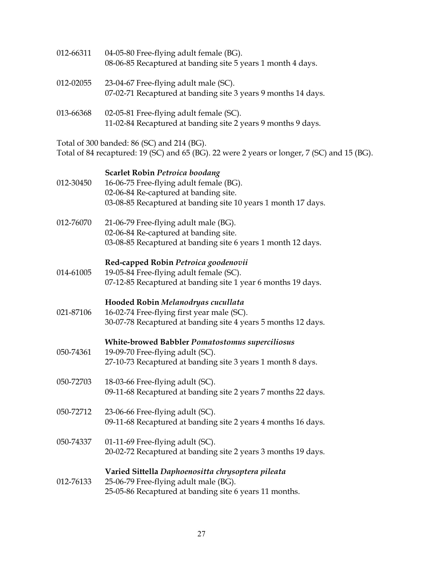| 012-66311 | 04-05-80 Free-flying adult female (BG).<br>08-06-85 Recaptured at banding site 5 years 1 month 4 days.                                                                                     |
|-----------|--------------------------------------------------------------------------------------------------------------------------------------------------------------------------------------------|
| 012-02055 | 23-04-67 Free-flying adult male (SC).<br>07-02-71 Recaptured at banding site 3 years 9 months 14 days.                                                                                     |
| 013-66368 | 02-05-81 Free-flying adult female (SC).<br>11-02-84 Recaptured at banding site 2 years 9 months 9 days.                                                                                    |
|           | Total of 300 banded: 86 (SC) and 214 (BG).<br>Total of 84 recaptured: 19 (SC) and 65 (BG). 22 were 2 years or longer, 7 (SC) and 15 (BG).                                                  |
| 012-30450 | <b>Scarlet Robin Petroica boodang</b><br>16-06-75 Free-flying adult female (BG).<br>02-06-84 Re-captured at banding site.<br>03-08-85 Recaptured at banding site 10 years 1 month 17 days. |
| 012-76070 | 21-06-79 Free-flying adult male (BG).<br>02-06-84 Re-captured at banding site.<br>03-08-85 Recaptured at banding site 6 years 1 month 12 days.                                             |
| 014-61005 | Red-capped Robin Petroica goodenovii<br>19-05-84 Free-flying adult female (SC).<br>07-12-85 Recaptured at banding site 1 year 6 months 19 days.                                            |
| 021-87106 | Hooded Robin Melanodryas cucullata<br>16-02-74 Free-flying first year male (SC).<br>30-07-78 Recaptured at banding site 4 years 5 months 12 days.                                          |
| 050-74361 | White-browed Babbler Pomatostomus superciliosus<br>19-09-70 Free-flying adult (SC).<br>27-10-73 Recaptured at banding site 3 years 1 month 8 days.                                         |
| 050-72703 | 18-03-66 Free-flying adult (SC).<br>09-11-68 Recaptured at banding site 2 years 7 months 22 days.                                                                                          |
| 050-72712 | 23-06-66 Free-flying adult (SC).<br>09-11-68 Recaptured at banding site 2 years 4 months 16 days.                                                                                          |
| 050-74337 | 01-11-69 Free-flying adult (SC).<br>20-02-72 Recaptured at banding site 2 years 3 months 19 days.                                                                                          |
| 012-76133 | Varied Sittella Daphoenositta chrysoptera pileata<br>25-06-79 Free-flying adult male (BG).<br>25-05-86 Recaptured at banding site 6 years 11 months.                                       |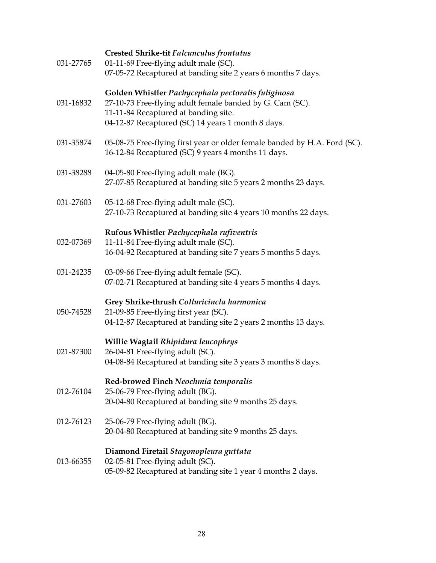| 031-27765 | <b>Crested Shrike-tit Falcunculus frontatus</b><br>01-11-69 Free-flying adult male (SC).<br>07-05-72 Recaptured at banding site 2 years 6 months 7 days.                                                    |
|-----------|-------------------------------------------------------------------------------------------------------------------------------------------------------------------------------------------------------------|
| 031-16832 | Golden Whistler Pachycephala pectoralis fuliginosa<br>27-10-73 Free-flying adult female banded by G. Cam (SC).<br>11-11-84 Recaptured at banding site.<br>04-12-87 Recaptured (SC) 14 years 1 month 8 days. |
| 031-35874 | 05-08-75 Free-flying first year or older female banded by H.A. Ford (SC).<br>16-12-84 Recaptured (SC) 9 years 4 months 11 days.                                                                             |
| 031-38288 | 04-05-80 Free-flying adult male (BG).<br>27-07-85 Recaptured at banding site 5 years 2 months 23 days.                                                                                                      |
| 031-27603 | 05-12-68 Free-flying adult male (SC).<br>27-10-73 Recaptured at banding site 4 years 10 months 22 days.                                                                                                     |
| 032-07369 | Rufous Whistler Pachycephala rufiventris<br>11-11-84 Free-flying adult male (SC).<br>16-04-92 Recaptured at banding site 7 years 5 months 5 days.                                                           |
| 031-24235 | 03-09-66 Free-flying adult female (SC).<br>07-02-71 Recaptured at banding site 4 years 5 months 4 days.                                                                                                     |
| 050-74528 | Grey Shrike-thrush Colluricincla harmonica<br>21-09-85 Free-flying first year (SC).<br>04-12-87 Recaptured at banding site 2 years 2 months 13 days.                                                        |
| 021-87300 | Willie Wagtail Rhipidura leucophrys<br>26-04-81 Free-flying adult (SC).<br>04-08-84 Recaptured at banding site 3 years 3 months 8 days.                                                                     |
| 012-76104 | Red-browed Finch Neochmia temporalis<br>25-06-79 Free-flying adult (BG).<br>20-04-80 Recaptured at banding site 9 months 25 days.                                                                           |
| 012-76123 | 25-06-79 Free-flying adult (BG).<br>20-04-80 Recaptured at banding site 9 months 25 days.                                                                                                                   |
| 013-66355 | Diamond Firetail Stagonopleura guttata<br>02-05-81 Free-flying adult (SC).<br>05-09-82 Recaptured at banding site 1 year 4 months 2 days.                                                                   |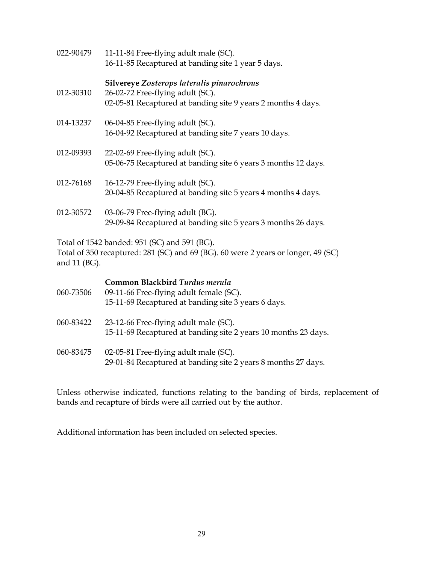| 022-90479    | 11-11-84 Free-flying adult male (SC).<br>16-11-85 Recaptured at banding site 1 year 5 days.                                                    |
|--------------|------------------------------------------------------------------------------------------------------------------------------------------------|
| 012-30310    | Silvereye Zosterops lateralis pinarochrous<br>26-02-72 Free-flying adult (SC).<br>02-05-81 Recaptured at banding site 9 years 2 months 4 days. |
| 014-13237    | 06-04-85 Free-flying adult (SC).<br>16-04-92 Recaptured at banding site 7 years 10 days.                                                       |
| 012-09393    | 22-02-69 Free-flying adult (SC).<br>05-06-75 Recaptured at banding site 6 years 3 months 12 days.                                              |
| 012-76168    | 16-12-79 Free-flying adult (SC).<br>20-04-85 Recaptured at banding site 5 years 4 months 4 days.                                               |
| 012-30572    | 03-06-79 Free-flying adult (BG).<br>29-09-84 Recaptured at banding site 5 years 3 months 26 days.                                              |
| and 11 (BG). | Total of 1542 banded: 951 (SC) and 591 (BG).<br>Total of 350 recaptured: 281 (SC) and 69 (BG). 60 were 2 years or longer, 49 (SC)              |
| 060-73506    | Common Blackbird Turdus merula<br>09-11-66 Free-flying adult female (SC).                                                                      |

| U0U-733U0 | 09-11-66 Free-flying adult female (SC).<br>15-11-69 Recaptured at banding site 3 years 6 days.          |
|-----------|---------------------------------------------------------------------------------------------------------|
| 060-83422 | 23-12-66 Free-flying adult male (SC).<br>15-11-69 Recaptured at banding site 2 years 10 months 23 days. |

060-83475 02-05-81 Free-flying adult male (SC). 29-01-84 Recaptured at banding site 2 years 8 months 27 days.

Unless otherwise indicated, functions relating to the banding of birds, replacement of bands and recapture of birds were all carried out by the author.

Additional information has been included on selected species.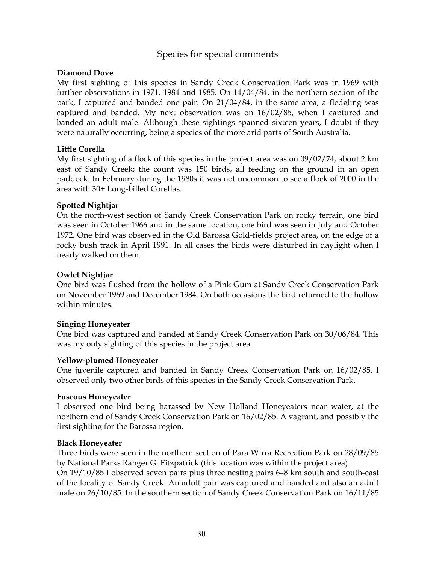### Species for special comments

#### **Diamond Dove**

My first sighting of this species in Sandy Creek Conservation Park was in 1969 with further observations in 1971, 1984 and 1985. On 14/04/84, in the northern section of the park, I captured and banded one pair. On 21/04/84, in the same area, a fledgling was captured and banded. My next observation was on 16/02/85, when I captured and banded an adult male. Although these sightings spanned sixteen years, I doubt if they were naturally occurring, being a species of the more arid parts of South Australia.

### **Little Corella**

My first sighting of a flock of this species in the project area was on 09/02/74, about 2 km east of Sandy Creek; the count was 150 birds, all feeding on the ground in an open paddock. In February during the 1980s it was not uncommon to see a flock of 2000 in the area with 30+ Long-billed Corellas.

### **Spotted Nightjar**

On the north-west section of Sandy Creek Conservation Park on rocky terrain, one bird was seen in October 1966 and in the same location, one bird was seen in July and October 1972. One bird was observed in the Old Barossa Gold-fields project area, on the edge of a rocky bush track in April 1991. In all cases the birds were disturbed in daylight when I nearly walked on them.

### **Owlet Nightjar**

One bird was flushed from the hollow of a Pink Gum at Sandy Creek Conservation Park on November 1969 and December 1984. On both occasions the bird returned to the hollow within minutes.

### **Singing Honeyeater**

One bird was captured and banded at Sandy Creek Conservation Park on 30/06/84. This was my only sighting of this species in the project area.

### **Yellow-plumed Honeyeater**

One juvenile captured and banded in Sandy Creek Conservation Park on 16/02/85. I observed only two other birds of this species in the Sandy Creek Conservation Park.

### **Fuscous Honeyeater**

I observed one bird being harassed by New Holland Honeyeaters near water, at the northern end of Sandy Creek Conservation Park on 16/02/85. A vagrant, and possibly the first sighting for the Barossa region.

### **Black Honeyeater**

Three birds were seen in the northern section of Para Wirra Recreation Park on 28/09/85 by National Parks Ranger G. Fitzpatrick (this location was within the project area).

On 19/10/85 I observed seven pairs plus three nesting pairs 6–8 km south and south-east of the locality of Sandy Creek. An adult pair was captured and banded and also an adult male on 26/10/85. In the southern section of Sandy Creek Conservation Park on 16/11/85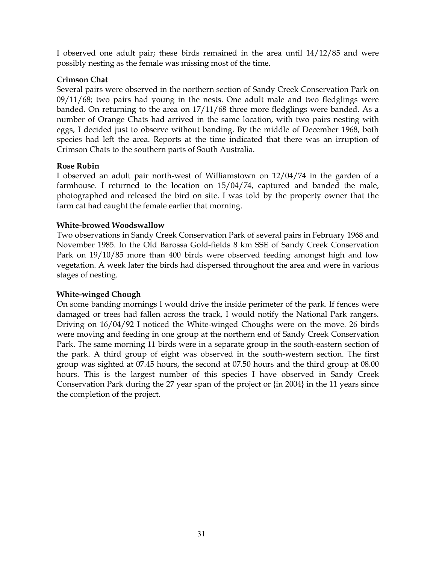I observed one adult pair; these birds remained in the area until 14/12/85 and were possibly nesting as the female was missing most of the time.

### **Crimson Chat**

Several pairs were observed in the northern section of Sandy Creek Conservation Park on 09/11/68; two pairs had young in the nests. One adult male and two fledglings were banded. On returning to the area on 17/11/68 three more fledglings were banded. As a number of Orange Chats had arrived in the same location, with two pairs nesting with eggs, I decided just to observe without banding. By the middle of December 1968, both species had left the area. Reports at the time indicated that there was an irruption of Crimson Chats to the southern parts of South Australia.

### **Rose Robin**

I observed an adult pair north-west of Williamstown on 12/04/74 in the garden of a farmhouse. I returned to the location on 15/04/74, captured and banded the male, photographed and released the bird on site. I was told by the property owner that the farm cat had caught the female earlier that morning.

### **White-browed Woodswallow**

Two observations in Sandy Creek Conservation Park of several pairs in February 1968 and November 1985. In the Old Barossa Gold-fields 8 km SSE of Sandy Creek Conservation Park on 19/10/85 more than 400 birds were observed feeding amongst high and low vegetation. A week later the birds had dispersed throughout the area and were in various stages of nesting.

### **White-winged Chough**

On some banding mornings I would drive the inside perimeter of the park. If fences were damaged or trees had fallen across the track, I would notify the National Park rangers. Driving on 16/04/92 I noticed the White-winged Choughs were on the move. 26 birds were moving and feeding in one group at the northern end of Sandy Creek Conservation Park. The same morning 11 birds were in a separate group in the south-eastern section of the park. A third group of eight was observed in the south-western section. The first group was sighted at 07.45 hours, the second at 07.50 hours and the third group at 08.00 hours. This is the largest number of this species I have observed in Sandy Creek Conservation Park during the 27 year span of the project or {in 2004} in the 11 years since the completion of the project.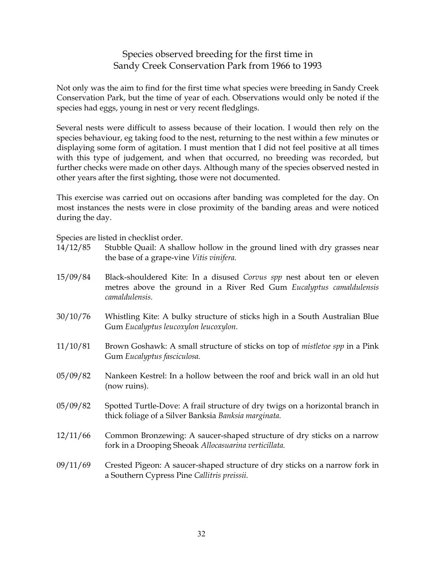### Species observed breeding for the first time in Sandy Creek Conservation Park from 1966 to 1993

Not only was the aim to find for the first time what species were breeding in Sandy Creek Conservation Park, but the time of year of each. Observations would only be noted if the species had eggs, young in nest or very recent fledglings.

Several nests were difficult to assess because of their location. I would then rely on the species behaviour, eg taking food to the nest, returning to the nest within a few minutes or displaying some form of agitation. I must mention that I did not feel positive at all times with this type of judgement, and when that occurred, no breeding was recorded, but further checks were made on other days. Although many of the species observed nested in other years after the first sighting, those were not documented.

This exercise was carried out on occasions after banding was completed for the day. On most instances the nests were in close proximity of the banding areas and were noticed during the day.

Species are listed in checklist order.

| 14/12/85 | Stubble Quail: A shallow hollow in the ground lined with dry grasses near |
|----------|---------------------------------------------------------------------------|
|          | the base of a grape-vine Vitis vinifera.                                  |
|          |                                                                           |

- 15/09/84 Black-shouldered Kite: In a disused *Corvus spp* nest about ten or eleven metres above the ground in a River Red Gum *Eucalyptus camaldulensis camaldulensis.*
- 30/10/76 Whistling Kite: A bulky structure of sticks high in a South Australian Blue Gum *Eucalyptus leucoxylon leucoxylon.*
- 11/10/81 Brown Goshawk: A small structure of sticks on top of *mistletoe spp* in a Pink Gum *Eucalyptus fasciculosa.*
- 05/09/82 Nankeen Kestrel: In a hollow between the roof and brick wall in an old hut (now ruins).
- 05/09/82 Spotted Turtle-Dove: A frail structure of dry twigs on a horizontal branch in thick foliage of a Silver Banksia *Banksia marginata.*
- 12/11/66 Common Bronzewing: A saucer-shaped structure of dry sticks on a narrow fork in a Drooping Sheoak *Allocasuarina verticillata.*
- 09/11/69 Crested Pigeon: A saucer-shaped structure of dry sticks on a narrow fork in a Southern Cypress Pine *Callitris preissii.*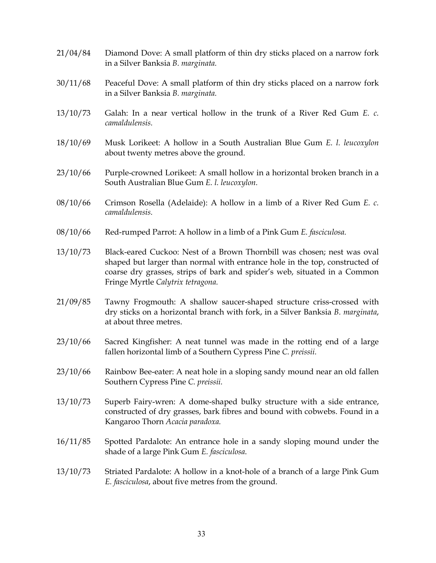- 21/04/84 Diamond Dove: A small platform of thin dry sticks placed on a narrow fork in a Silver Banksia *B. marginata.*
- 30/11/68 Peaceful Dove: A small platform of thin dry sticks placed on a narrow fork in a Silver Banksia *B. marginata.*
- 13/10/73 Galah: In a near vertical hollow in the trunk of a River Red Gum *E. c. camaldulensis.*
- 18/10/69 Musk Lorikeet: A hollow in a South Australian Blue Gum *E. l. leucoxylon* about twenty metres above the ground.
- 23/10/66 Purple-crowned Lorikeet: A small hollow in a horizontal broken branch in a South Australian Blue Gum *E. l. leucoxylon.*
- 08/10/66 Crimson Rosella (Adelaide): A hollow in a limb of a River Red Gum *E. c. camaldulensis.*
- 08/10/66 Red-rumped Parrot: A hollow in a limb of a Pink Gum *E. fasciculosa.*
- 13/10/73 Black-eared Cuckoo: Nest of a Brown Thornbill was chosen; nest was oval shaped but larger than normal with entrance hole in the top, constructed of coarse dry grasses, strips of bark and spider's web, situated in a Common Fringe Myrtle *Calytrix tetragona.*
- 21/09/85 Tawny Frogmouth: A shallow saucer-shaped structure criss-crossed with dry sticks on a horizontal branch with fork, in a Silver Banksia *B. marginata*, at about three metres.
- 23/10/66 Sacred Kingfisher: A neat tunnel was made in the rotting end of a large fallen horizontal limb of a Southern Cypress Pine *C. preissii.*
- 23/10/66 Rainbow Bee-eater: A neat hole in a sloping sandy mound near an old fallen Southern Cypress Pine *C. preissii.*
- 13/10/73 Superb Fairy-wren: A dome-shaped bulky structure with a side entrance, constructed of dry grasses, bark fibres and bound with cobwebs. Found in a Kangaroo Thorn *Acacia paradoxa.*
- 16/11/85 Spotted Pardalote: An entrance hole in a sandy sloping mound under the shade of a large Pink Gum *E. fasciculosa*.
- 13/10/73 Striated Pardalote: A hollow in a knot-hole of a branch of a large Pink Gum *E. fasciculosa*, about five metres from the ground.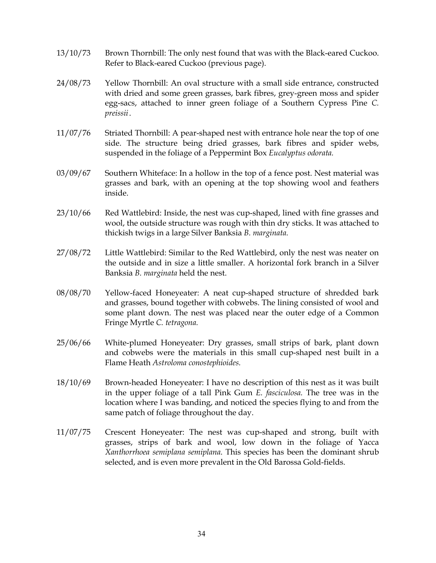- 13/10/73 Brown Thornbill: The only nest found that was with the Black-eared Cuckoo. Refer to Black-eared Cuckoo (previous page).
- 24/08/73 Yellow Thornbill: An oval structure with a small side entrance, constructed with dried and some green grasses, bark fibres, grey-green moss and spider egg-sacs, attached to inner green foliage of a Southern Cypress Pine *C. preissii* .
- 11/07/76 Striated Thornbill: A pear-shaped nest with entrance hole near the top of one side. The structure being dried grasses, bark fibres and spider webs, suspended in the foliage of a Peppermint Box *Eucalyptus odorata.*
- 03/09/67 Southern Whiteface: In a hollow in the top of a fence post. Nest material was grasses and bark, with an opening at the top showing wool and feathers inside.
- 23/10/66 Red Wattlebird: Inside, the nest was cup-shaped, lined with fine grasses and wool, the outside structure was rough with thin dry sticks. It was attached to thickish twigs in a large Silver Banksia *B. marginata.*
- 27/08/72 Little Wattlebird: Similar to the Red Wattlebird, only the nest was neater on the outside and in size a little smaller. A horizontal fork branch in a Silver Banksia *B. marginata* held the nest.
- 08/08/70 Yellow-faced Honeyeater: A neat cup-shaped structure of shredded bark and grasses, bound together with cobwebs. The lining consisted of wool and some plant down. The nest was placed near the outer edge of a Common Fringe Myrtle *C. tetragona.*
- 25/06/66 White-plumed Honeyeater: Dry grasses, small strips of bark, plant down and cobwebs were the materials in this small cup-shaped nest built in a Flame Heath *Astroloma conostephioides.*
- 18/10/69 Brown-headed Honeyeater: I have no description of this nest as it was built in the upper foliage of a tall Pink Gum *E. fasciculosa.* The tree was in the location where I was banding, and noticed the species flying to and from the same patch of foliage throughout the day.
- 11/07/75 Crescent Honeyeater: The nest was cup-shaped and strong, built with grasses, strips of bark and wool, low down in the foliage of Yacca *Xanthorrhoea semiplana semiplana*. This species has been the dominant shrub selected, and is even more prevalent in the Old Barossa Gold-fields.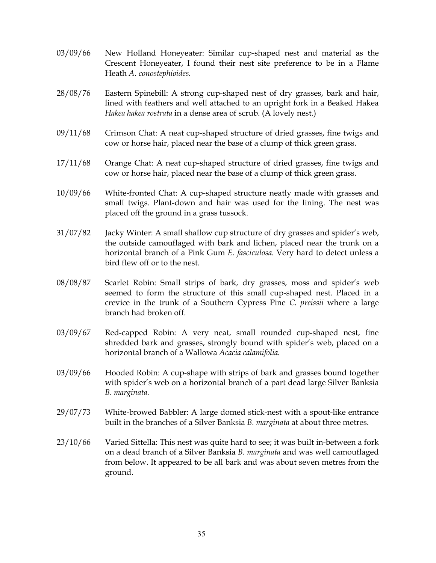- 03/09/66 New Holland Honeyeater: Similar cup-shaped nest and material as the Crescent Honeyeater, I found their nest site preference to be in a Flame Heath *A. conostephioides.*
- 28/08/76 Eastern Spinebill: A strong cup-shaped nest of dry grasses, bark and hair, lined with feathers and well attached to an upright fork in a Beaked Hakea *Hakea hakea rostrata* in a dense area of scrub. (A lovely nest.)
- 09/11/68 Crimson Chat: A neat cup-shaped structure of dried grasses, fine twigs and cow or horse hair, placed near the base of a clump of thick green grass.
- 17/11/68 Orange Chat: A neat cup-shaped structure of dried grasses, fine twigs and cow or horse hair, placed near the base of a clump of thick green grass.
- 10/09/66 White-fronted Chat: A cup-shaped structure neatly made with grasses and small twigs. Plant-down and hair was used for the lining. The nest was placed off the ground in a grass tussock.
- 31/07/82 Jacky Winter: A small shallow cup structure of dry grasses and spider's web, the outside camouflaged with bark and lichen, placed near the trunk on a horizontal branch of a Pink Gum *E. fasciculosa.* Very hard to detect unless a bird flew off or to the nest.
- 08/08/87 Scarlet Robin: Small strips of bark, dry grasses, moss and spider's web seemed to form the structure of this small cup-shaped nest. Placed in a crevice in the trunk of a Southern Cypress Pine *C. preissii* where a large branch had broken off.
- 03/09/67 Red-capped Robin: A very neat, small rounded cup-shaped nest, fine shredded bark and grasses, strongly bound with spider's web, placed on a horizontal branch of a Wallowa *Acacia calamifolia.*
- 03/09/66 Hooded Robin: A cup-shape with strips of bark and grasses bound together with spider's web on a horizontal branch of a part dead large Silver Banksia *B. marginata.*
- 29/07/73 White-browed Babbler: A large domed stick-nest with a spout-like entrance built in the branches of a Silver Banksia *B. marginata* at about three metres.
- 23/10/66 Varied Sittella: This nest was quite hard to see; it was built in-between a fork on a dead branch of a Silver Banksia *B. marginata* and was well camouflaged from below. It appeared to be all bark and was about seven metres from the ground.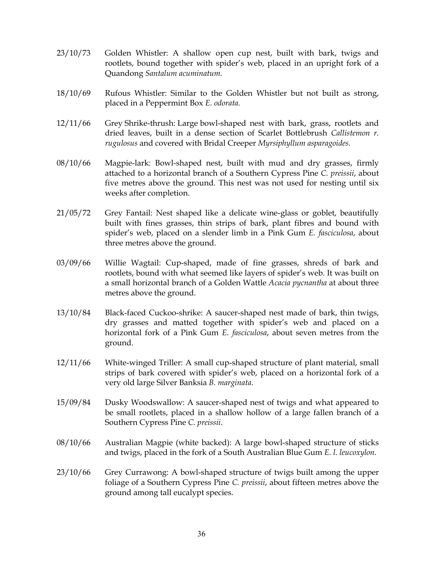- 23/10/73 Golden Whistler: A shallow open cup nest, built with bark, twigs and rootlets, bound together with spider's web, placed in an upright fork of a Quandong *Santalum acuminatum.*
- 18/10/69 Rufous Whistler: Similar to the Golden Whistler but not built as strong, placed in a Peppermint Box *E. odorata.*
- 12/11/66 Grey Shrike-thrush: Large bowl-shaped nest with bark, grass, rootlets and dried leaves, built in a dense section of Scarlet Bottlebrush *Callistemon r. rugulosus* and covered with Bridal Creeper *Myrsiphyllum asparagoides.*
- 08/10/66 Magpie-lark: Bowl-shaped nest, built with mud and dry grasses, firmly attached to a horizontal branch of a Southern Cypress Pine *C. preissii*, about five metres above the ground. This nest was not used for nesting until six weeks after completion.
- 21/05/72 Grey Fantail: Nest shaped like a delicate wine-glass or goblet, beautifully built with fines grasses, thin strips of bark, plant fibres and bound with spider's web, placed on a slender limb in a Pink Gum *E. fasciculosa*, about three metres above the ground.
- 03/09/66 Willie Wagtail: Cup-shaped, made of fine grasses, shreds of bark and rootlets, bound with what seemed like layers of spider's web. It was built on a small horizontal branch of a Golden Wattle *Acacia pycnantha* at about three metres above the ground.
- 13/10/84 Black-faced Cuckoo-shrike: A saucer-shaped nest made of bark, thin twigs, dry grasses and matted together with spider's web and placed on a horizontal fork of a Pink Gum *E. fasciculosa*, about seven metres from the ground.
- 12/11/66 White-winged Triller: A small cup-shaped structure of plant material, small strips of bark covered with spider's web, placed on a horizontal fork of a very old large Silver Banksia *B. marginata*.
- 15/09/84 Dusky Woodswallow: A saucer-shaped nest of twigs and what appeared to be small rootlets, placed in a shallow hollow of a large fallen branch of a Southern Cypress Pine *C. preissii*.
- 08/10/66 Australian Magpie (white backed): A large bowl-shaped structure of sticks and twigs, placed in the fork of a South Australian Blue Gum *E. l. leucoxylon.*
- 23/10/66 Grey Currawong: A bowl-shaped structure of twigs built among the upper foliage of a Southern Cypress Pine *C. preissii*, about fifteen metres above the ground among tall eucalypt species.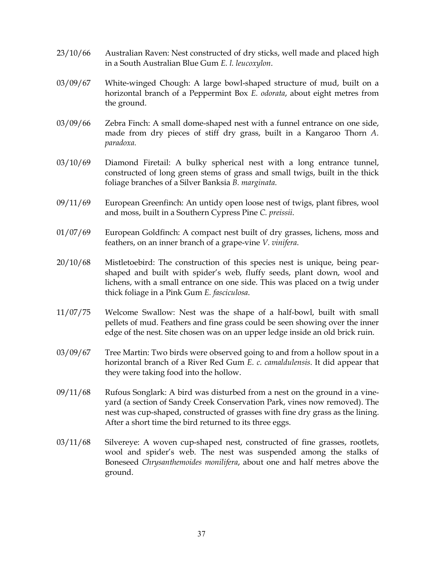- 23/10/66 Australian Raven: Nest constructed of dry sticks, well made and placed high in a South Australian Blue Gum *E. l. leucoxylon*.
- 03/09/67 White-winged Chough: A large bowl-shaped structure of mud, built on a horizontal branch of a Peppermint Box *E. odorata*, about eight metres from the ground.
- 03/09/66 Zebra Finch: A small dome-shaped nest with a funnel entrance on one side, made from dry pieces of stiff dry grass, built in a Kangaroo Thorn *A. paradoxa.*
- 03/10/69 Diamond Firetail: A bulky spherical nest with a long entrance tunnel, constructed of long green stems of grass and small twigs, built in the thick foliage branches of a Silver Banksia *B. marginata*.
- 09/11/69 European Greenfinch: An untidy open loose nest of twigs, plant fibres, wool and moss, built in a Southern Cypress Pine *C. preissii*.
- 01/07/69 European Goldfinch: A compact nest built of dry grasses, lichens, moss and feathers, on an inner branch of a grape-vine *V. vinifera*.
- 20/10/68 Mistletoebird: The construction of this species nest is unique, being pearshaped and built with spider's web, fluffy seeds, plant down, wool and lichens, with a small entrance on one side. This was placed on a twig under thick foliage in a Pink Gum *E. fasciculosa*.
- 11/07/75 Welcome Swallow: Nest was the shape of a half-bowl, built with small pellets of mud. Feathers and fine grass could be seen showing over the inner edge of the nest. Site chosen was on an upper ledge inside an old brick ruin.
- 03/09/67 Tree Martin: Two birds were observed going to and from a hollow spout in a horizontal branch of a River Red Gum *E. c. camaldulensis*. It did appear that they were taking food into the hollow.
- 09/11/68 Rufous Songlark: A bird was disturbed from a nest on the ground in a vineyard (a section of Sandy Creek Conservation Park, vines now removed). The nest was cup-shaped, constructed of grasses with fine dry grass as the lining. After a short time the bird returned to its three eggs.
- 03/11/68 Silvereye: A woven cup-shaped nest, constructed of fine grasses, rootlets, wool and spider's web. The nest was suspended among the stalks of Boneseed *Chrysanthemoides monilifera*, about one and half metres above the ground.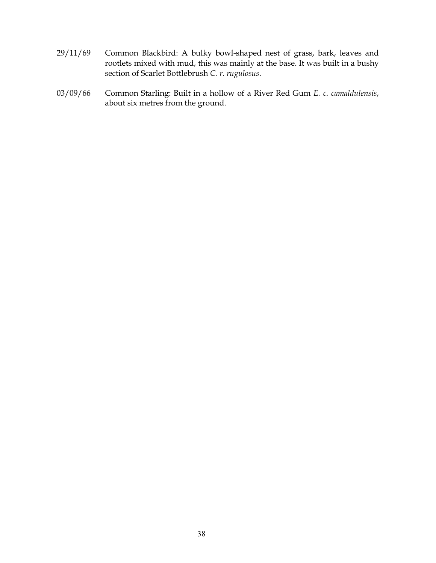- 29/11/69 Common Blackbird: A bulky bowl-shaped nest of grass, bark, leaves and rootlets mixed with mud, this was mainly at the base. It was built in a bushy section of Scarlet Bottlebrush *C. r. rugulosus*.
- 03/09/66 Common Starling: Built in a hollow of a River Red Gum *E. c. camaldulensis*, about six metres from the ground.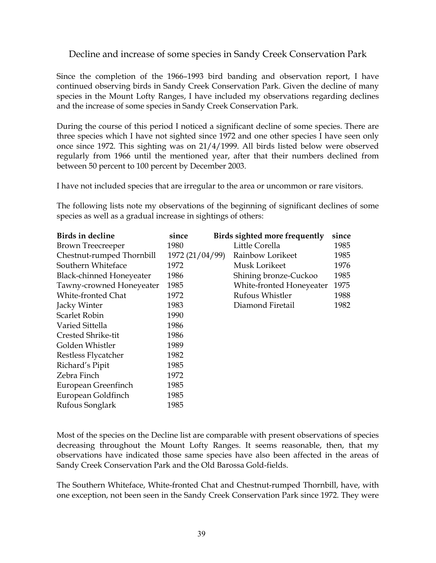### Decline and increase of some species in Sandy Creek Conservation Park

Since the completion of the 1966–1993 bird banding and observation report, I have continued observing birds in Sandy Creek Conservation Park. Given the decline of many species in the Mount Lofty Ranges, I have included my observations regarding declines and the increase of some species in Sandy Creek Conservation Park.

During the course of this period I noticed a significant decline of some species. There are three species which I have not sighted since 1972 and one other species I have seen only once since 1972. This sighting was on 21/4/1999. All birds listed below were observed regularly from 1966 until the mentioned year, after that their numbers declined from between 50 percent to 100 percent by December 2003.

I have not included species that are irregular to the area or uncommon or rare visitors.

The following lists note my observations of the beginning of significant declines of some species as well as a gradual increase in sightings of others:

| Birds in decline          | since           | Birds sighted more frequently | since |
|---------------------------|-----------------|-------------------------------|-------|
| Brown Treecreeper         | 1980            | Little Corella                | 1985  |
| Chestnut-rumped Thornbill | 1972 (21/04/99) | Rainbow Lorikeet              | 1985  |
| Southern Whiteface        | 1972            | Musk Lorikeet                 | 1976  |
| Black-chinned Honeyeater  | 1986            | Shining bronze-Cuckoo         | 1985  |
| Tawny-crowned Honeyeater  | 1985            | White-fronted Honeyeater      | 1975  |
| White-fronted Chat        | 1972            | Rufous Whistler               | 1988  |
| Jacky Winter              | 1983            | Diamond Firetail              | 1982  |
| Scarlet Robin             | 1990            |                               |       |
| Varied Sittella           | 1986            |                               |       |
| Crested Shrike-tit        | 1986            |                               |       |
| Golden Whistler           | 1989            |                               |       |
| Restless Flycatcher       | 1982            |                               |       |
| Richard's Pipit           | 1985            |                               |       |
| Zebra Finch               | 1972            |                               |       |
| European Greenfinch       | 1985            |                               |       |
| European Goldfinch        | 1985            |                               |       |
| Rufous Songlark           | 1985            |                               |       |

Most of the species on the Decline list are comparable with present observations of species decreasing throughout the Mount Lofty Ranges. It seems reasonable, then, that my observations have indicated those same species have also been affected in the areas of Sandy Creek Conservation Park and the Old Barossa Gold-fields.

The Southern Whiteface, White-fronted Chat and Chestnut-rumped Thornbill, have, with one exception, not been seen in the Sandy Creek Conservation Park since 1972. They were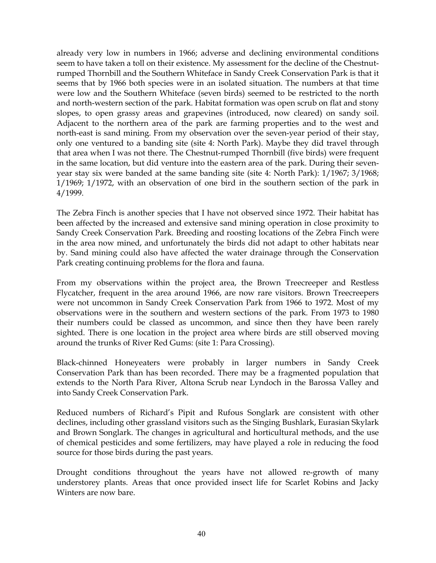already very low in numbers in 1966; adverse and declining environmental conditions seem to have taken a toll on their existence. My assessment for the decline of the Chestnutrumped Thornbill and the Southern Whiteface in Sandy Creek Conservation Park is that it seems that by 1966 both species were in an isolated situation. The numbers at that time were low and the Southern Whiteface (seven birds) seemed to be restricted to the north and north-western section of the park. Habitat formation was open scrub on flat and stony slopes, to open grassy areas and grapevines (introduced, now cleared) on sandy soil. Adjacent to the northern area of the park are farming properties and to the west and north-east is sand mining. From my observation over the seven-year period of their stay, only one ventured to a banding site (site 4: North Park). Maybe they did travel through that area when I was not there. The Chestnut-rumped Thornbill (five birds) were frequent in the same location, but did venture into the eastern area of the park. During their sevenyear stay six were banded at the same banding site (site 4: North Park): 1/1967; 3/1968; 1/1969; 1/1972, with an observation of one bird in the southern section of the park in 4/1999.

The Zebra Finch is another species that I have not observed since 1972. Their habitat has been affected by the increased and extensive sand mining operation in close proximity to Sandy Creek Conservation Park. Breeding and roosting locations of the Zebra Finch were in the area now mined, and unfortunately the birds did not adapt to other habitats near by. Sand mining could also have affected the water drainage through the Conservation Park creating continuing problems for the flora and fauna.

From my observations within the project area, the Brown Treecreeper and Restless Flycatcher, frequent in the area around 1966, are now rare visitors. Brown Treecreepers were not uncommon in Sandy Creek Conservation Park from 1966 to 1972. Most of my observations were in the southern and western sections of the park. From 1973 to 1980 their numbers could be classed as uncommon, and since then they have been rarely sighted. There is one location in the project area where birds are still observed moving around the trunks of River Red Gums: (site 1: Para Crossing).

Black-chinned Honeyeaters were probably in larger numbers in Sandy Creek Conservation Park than has been recorded. There may be a fragmented population that extends to the North Para River, Altona Scrub near Lyndoch in the Barossa Valley and into Sandy Creek Conservation Park.

Reduced numbers of Richard's Pipit and Rufous Songlark are consistent with other declines, including other grassland visitors such as the Singing Bushlark, Eurasian Skylark and Brown Songlark. The changes in agricultural and horticultural methods, and the use of chemical pesticides and some fertilizers, may have played a role in reducing the food source for those birds during the past years.

Drought conditions throughout the years have not allowed re-growth of many understorey plants. Areas that once provided insect life for Scarlet Robins and Jacky Winters are now bare.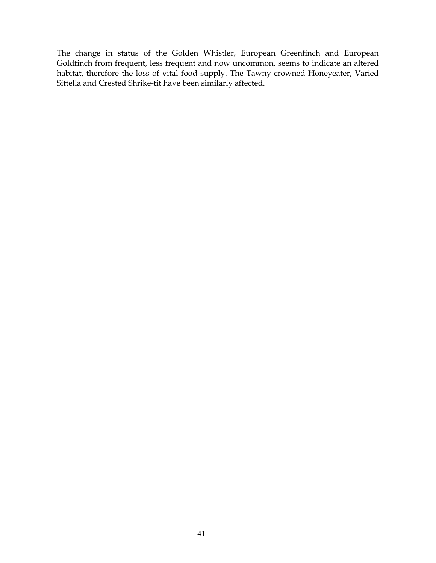The change in status of the Golden Whistler, European Greenfinch and European Goldfinch from frequent, less frequent and now uncommon, seems to indicate an altered habitat, therefore the loss of vital food supply. The Tawny-crowned Honeyeater, Varied Sittella and Crested Shrike-tit have been similarly affected.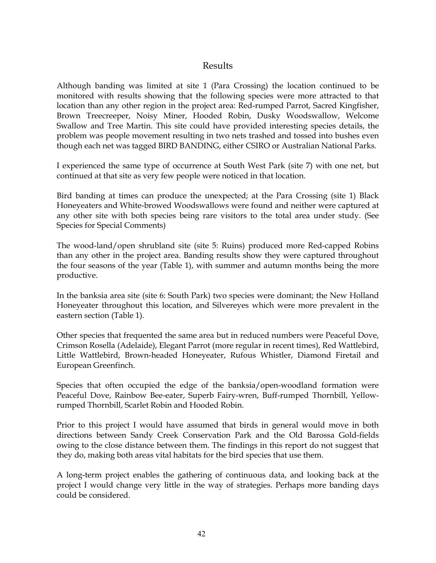### Results

Although banding was limited at site 1 (Para Crossing) the location continued to be monitored with results showing that the following species were more attracted to that location than any other region in the project area: Red-rumped Parrot, Sacred Kingfisher, Brown Treecreeper, Noisy Miner, Hooded Robin, Dusky Woodswallow, Welcome Swallow and Tree Martin. This site could have provided interesting species details, the problem was people movement resulting in two nets trashed and tossed into bushes even though each net was tagged BIRD BANDING, either CSIRO or Australian National Parks.

I experienced the same type of occurrence at South West Park (site 7) with one net, but continued at that site as very few people were noticed in that location.

Bird banding at times can produce the unexpected; at the Para Crossing (site 1) Black Honeyeaters and White-browed Woodswallows were found and neither were captured at any other site with both species being rare visitors to the total area under study. (See Species for Special Comments)

The wood-land/open shrubland site (site 5: Ruins) produced more Red-capped Robins than any other in the project area. Banding results show they were captured throughout the four seasons of the year (Table 1), with summer and autumn months being the more productive.

In the banksia area site (site 6: South Park) two species were dominant; the New Holland Honeyeater throughout this location, and Silvereyes which were more prevalent in the eastern section (Table 1).

Other species that frequented the same area but in reduced numbers were Peaceful Dove, Crimson Rosella (Adelaide), Elegant Parrot (more regular in recent times), Red Wattlebird, Little Wattlebird, Brown-headed Honeyeater, Rufous Whistler, Diamond Firetail and European Greenfinch.

Species that often occupied the edge of the banksia/open-woodland formation were Peaceful Dove, Rainbow Bee-eater, Superb Fairy-wren, Buff-rumped Thornbill, Yellowrumped Thornbill, Scarlet Robin and Hooded Robin.

Prior to this project I would have assumed that birds in general would move in both directions between Sandy Creek Conservation Park and the Old Barossa Gold-fields owing to the close distance between them. The findings in this report do not suggest that they do, making both areas vital habitats for the bird species that use them.

A long-term project enables the gathering of continuous data, and looking back at the project I would change very little in the way of strategies. Perhaps more banding days could be considered.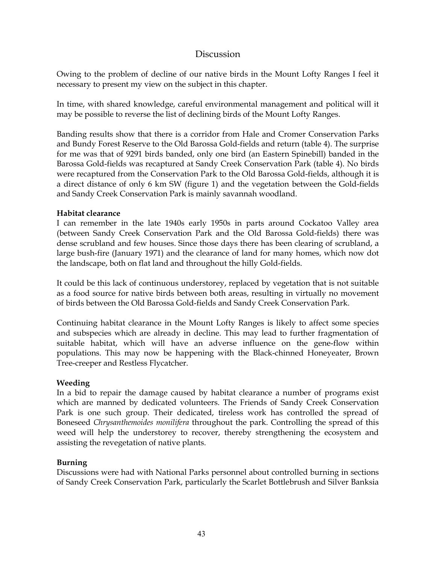### Discussion

Owing to the problem of decline of our native birds in the Mount Lofty Ranges I feel it necessary to present my view on the subject in this chapter.

In time, with shared knowledge, careful environmental management and political will it may be possible to reverse the list of declining birds of the Mount Lofty Ranges.

Banding results show that there is a corridor from Hale and Cromer Conservation Parks and Bundy Forest Reserve to the Old Barossa Gold-fields and return (table 4). The surprise for me was that of 9291 birds banded, only one bird (an Eastern Spinebill) banded in the Barossa Gold-fields was recaptured at Sandy Creek Conservation Park (table 4). No birds were recaptured from the Conservation Park to the Old Barossa Gold-fields, although it is a direct distance of only 6 km SW (figure 1) and the vegetation between the Gold-fields and Sandy Creek Conservation Park is mainly savannah woodland.

### **Habitat clearance**

I can remember in the late 1940s early 1950s in parts around Cockatoo Valley area (between Sandy Creek Conservation Park and the Old Barossa Gold-fields) there was dense scrubland and few houses. Since those days there has been clearing of scrubland, a large bush-fire (January 1971) and the clearance of land for many homes, which now dot the landscape, both on flat land and throughout the hilly Gold-fields.

It could be this lack of continuous understorey, replaced by vegetation that is not suitable as a food source for native birds between both areas, resulting in virtually no movement of birds between the Old Barossa Gold-fields and Sandy Creek Conservation Park.

Continuing habitat clearance in the Mount Lofty Ranges is likely to affect some species and subspecies which are already in decline. This may lead to further fragmentation of suitable habitat, which will have an adverse influence on the gene-flow within populations. This may now be happening with the Black-chinned Honeyeater, Brown Tree-creeper and Restless Flycatcher.

### **Weeding**

In a bid to repair the damage caused by habitat clearance a number of programs exist which are manned by dedicated volunteers. The Friends of Sandy Creek Conservation Park is one such group. Their dedicated, tireless work has controlled the spread of Boneseed *Chrysanthemoides monilifera* throughout the park. Controlling the spread of this weed will help the understorey to recover, thereby strengthening the ecosystem and assisting the revegetation of native plants.

### **Burning**

Discussions were had with National Parks personnel about controlled burning in sections of Sandy Creek Conservation Park, particularly the Scarlet Bottlebrush and Silver Banksia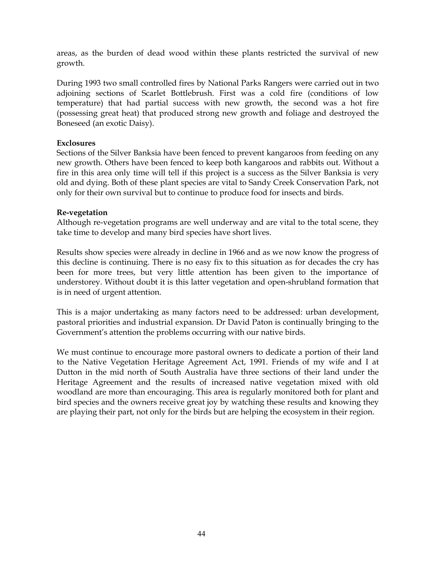areas, as the burden of dead wood within these plants restricted the survival of new growth.

During 1993 two small controlled fires by National Parks Rangers were carried out in two adjoining sections of Scarlet Bottlebrush. First was a cold fire (conditions of low temperature) that had partial success with new growth, the second was a hot fire (possessing great heat) that produced strong new growth and foliage and destroyed the Boneseed (an exotic Daisy).

#### **Exclosures**

Sections of the Silver Banksia have been fenced to prevent kangaroos from feeding on any new growth. Others have been fenced to keep both kangaroos and rabbits out. Without a fire in this area only time will tell if this project is a success as the Silver Banksia is very old and dying. Both of these plant species are vital to Sandy Creek Conservation Park, not only for their own survival but to continue to produce food for insects and birds.

#### **Re-vegetation**

Although re-vegetation programs are well underway and are vital to the total scene, they take time to develop and many bird species have short lives.

Results show species were already in decline in 1966 and as we now know the progress of this decline is continuing. There is no easy fix to this situation as for decades the cry has been for more trees, but very little attention has been given to the importance of understorey. Without doubt it is this latter vegetation and open-shrubland formation that is in need of urgent attention.

This is a major undertaking as many factors need to be addressed: urban development, pastoral priorities and industrial expansion. Dr David Paton is continually bringing to the Government's attention the problems occurring with our native birds.

We must continue to encourage more pastoral owners to dedicate a portion of their land to the Native Vegetation Heritage Agreement Act, 1991. Friends of my wife and I at Dutton in the mid north of South Australia have three sections of their land under the Heritage Agreement and the results of increased native vegetation mixed with old woodland are more than encouraging. This area is regularly monitored both for plant and bird species and the owners receive great joy by watching these results and knowing they are playing their part, not only for the birds but are helping the ecosystem in their region.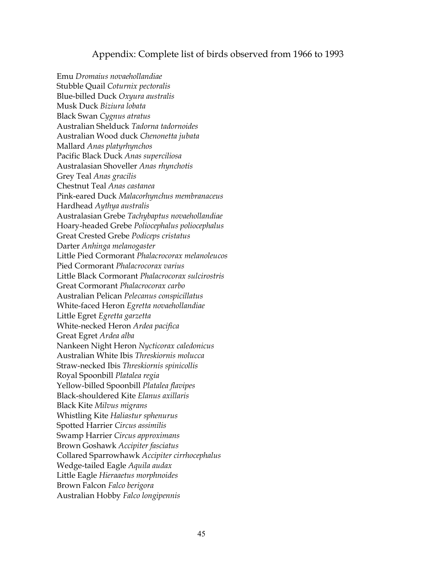### Appendix: Complete list of birds observed from 1966 to 1993

Emu *Dromaius novaehollandiae*  Stubble Quail *Coturnix pectoralis*  Blue-billed Duck *Oxyura australis* Musk Duck *Biziura lobata* Black Swan *Cygnus atratus* Australian Shelduck *Tadorna tadornoides* Australian Wood duck *Chenonetta jubata* Mallard *Anas platyrhynchos* Pacific Black Duck *Anas superciliosa* Australasian Shoveller *Anas rhynchotis* Grey Teal *Anas gracilis* Chestnut Teal *Anas castanea* Pink-eared Duck *Malacorhynchus membranaceus* Hardhead *Aythya australis* Australasian Grebe *Tachybaptus novaehollandiae* Hoary-headed Grebe *Poliocephalus poliocephalus* Great Crested Grebe *Podiceps cristatus* Darter *Anhinga melanogaster* Little Pied Cormorant *Phalacrocorax melanoleucos* Pied Cormorant *Phalacrocorax varius* Little Black Cormorant *Phalacrocorax sulcirostris* Great Cormorant *Phalacrocorax carbo* Australian Pelican *Pelecanus conspicillatus* White-faced Heron *Egretta novaehollandiae*  Little Egret *Egretta garzetta* White-necked Heron *Ardea pacifica* Great Egret *Ardea alba* Nankeen Night Heron *Nycticorax caledonicus* Australian White Ibis *Threskiornis molucca* Straw-necked Ibis *Threskiornis spinicollis* Royal Spoonbill *Platalea regia* Yellow-billed Spoonbill *Platalea flavipes* Black-shouldered Kite *Elanus axillaris* Black Kite *Milvus migrans* Whistling Kite *Haliastur sphenurus* Spotted Harrier *Circus assimilis* Swamp Harrier *Circus approximans* Brown Goshawk *Accipiter fasciatus* Collared Sparrowhawk *Accipiter cirrhocephalus* Wedge-tailed Eagle *Aquila audax* Little Eagle *Hieraaetus morphnoides* Brown Falcon *Falco berigora* Australian Hobby *Falco longipennis*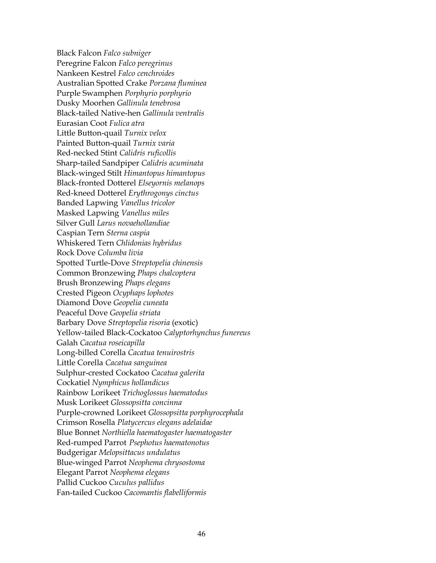Black Falcon *Falco subniger* Peregrine Falcon *Falco peregrinus* Nankeen Kestrel *Falco cenchroides* Australian Spotted Crake *Porzana fluminea* Purple Swamphen *Porphyrio porphyrio* Dusky Moorhen *Gallinula tenebrosa* Black-tailed Native-hen *Gallinula ventralis* Eurasian Coot *Fulica atra* Little Button-quail *Turnix velox* Painted Button-quail *Turnix varia* Red-necked Stint *Calidris ruficollis* Sharp-tailed Sandpiper *Calidris acuminata* Black-winged Stilt *Himantopus himantopus* Black-fronted Dotterel *Elseyornis melanops* Red-kneed Dotterel *Erythrogonys cinctus* Banded Lapwing *Vanellus tricolor*  Masked Lapwing *Vanellus miles* Silver Gull *Larus novaehollandiae* Caspian Tern *Sterna caspia* Whiskered Tern *Chlidonias hybridus* Rock Dove *Columba livia* Spotted Turtle-Dove *Streptopelia chinensis* Common Bronzewing *Phaps chalcoptera* Brush Bronzewing *Phaps elegans* Crested Pigeon *Ocyphaps lophotes* Diamond Dove *Geopelia cuneata* Peaceful Dove *Geopelia striata*  Barbary Dove *Streptopelia risoria* (exotic) Yellow-tailed Black-Cockatoo *Calyptorhynchus funereus* Galah *Cacatua roseicapilla* Long-billed Corella *Cacatua tenuirostris* Little Corella *Cacatua sanguinea* Sulphur-crested Cockatoo *Cacatua galerita* Cockatiel *Nymphicus hollandicus* Rainbow Lorikeet *Trichoglossus haematodus* Musk Lorikeet *Glossopsitta concinna*  Purple-crowned Lorikeet *Glossopsitta porphyrocephala* Crimson Rosella *Platycercus elegans adelaidae* Blue Bonnet *Northiella haematogaster haematogaster* Red-rumped Parrot *Psephotus haematonotus* Budgerigar *Melopsittacus undulatus* Blue-winged Parrot *Neophema chrysostoma* Elegant Parrot *Neophema elegans* Pallid Cuckoo *Cuculus pallidus* Fan-tailed Cuckoo *Cacomantis flabelliformis*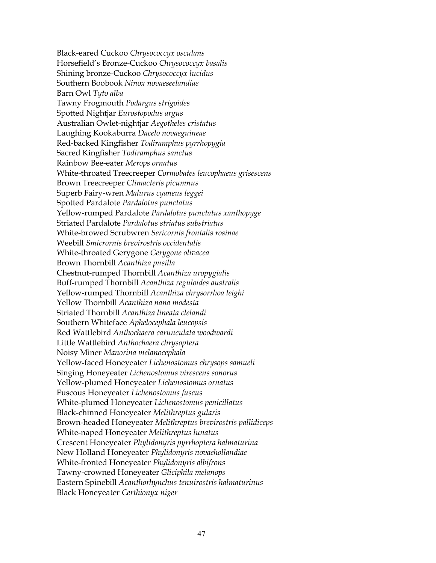Black-eared Cuckoo *Chrysococcyx osculans* Horsefield's Bronze-Cuckoo *Chrysococcyx basalis* Shining bronze-Cuckoo *Chrysococcyx lucidus* Southern Boobook *Ninox novaeseelandiae* Barn Owl *Tyto alba* Tawny Frogmouth *Podargus strigoides* Spotted Nightjar *Eurostopodus argus* Australian Owlet-nightjar *Aegotheles cristatus* Laughing Kookaburra *Dacelo novaeguineae* Red-backed Kingfisher *Todiramphus pyrrhopygia* Sacred Kingfisher *Todiramphus sanctus* Rainbow Bee-eater *Merops ornatus* White-throated Treecreeper *Cormobates leucophaeus grisescens* Brown Treecreeper *Climacteris picumnus* Superb Fairy-wren *Malurus cyaneus leggei* Spotted Pardalote *Pardalotus punctatus* Yellow-rumped Pardalote *Pardalotus punctatus xanthopyge* Striated Pardalote *Pardalotus striatus substriatus* White-browed Scrubwren *Sericornis frontalis rosinae* Weebill *Smicrornis brevirostris occidentalis* White-throated Gerygone *Gerygone olivacea* Brown Thornbill *Acanthiza pusilla* Chestnut-rumped Thornbill *Acanthiza uropygialis* Buff-rumped Thornbill *Acanthiza reguloides australis* Yellow-rumped Thornbill *Acanthiza chrysorrhoa leighi* Yellow Thornbill *Acanthiza nana modesta* Striated Thornbill *Acanthiza lineata clelandi* Southern Whiteface *Aphelocephala leucopsis* Red Wattlebird *Anthochaera carunculata woodwardi* Little Wattlebird *Anthochaera chrysoptera* Noisy Miner *Manorina melanocephala* Yellow-faced Honeyeater *Lichenostomus chrysops samueli* Singing Honeyeater *Lichenostomus virescens sonorus* Yellow-plumed Honeyeater *Lichenostomus ornatus* Fuscous Honeyeater *Lichenostomus fuscus* White-plumed Honeyeater *Lichenostomus penicillatus* Black-chinned Honeyeater *Melithreptus gularis* Brown-headed Honeyeater *Melithreptus brevirostris pallidiceps* White-naped Honeyeater *Melithreptus lunatus* Crescent Honeyeater *Phylidonyris pyrrhoptera halmaturina* New Holland Honeyeater *Phylidonyris novaehollandiae* White-fronted Honeyeater *Phylidonyris albifrons* Tawny-crowned Honeyeater *Gliciphila melanops* Eastern Spinebill *Acanthorhynchus tenuirostris halmaturinus* Black Honeyeater *Certhionyx niger*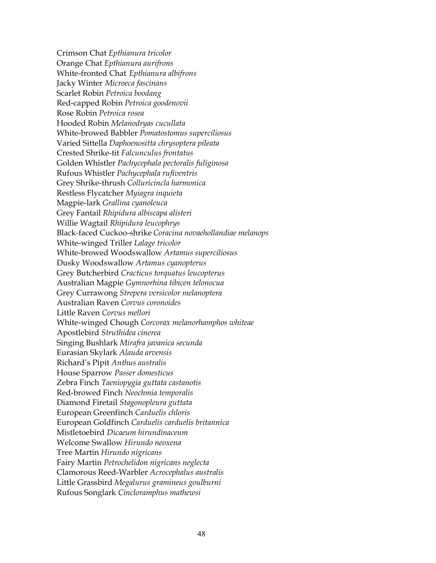Crimson Chat *Epthianura tricolor* Orange Chat *Epthianura aurifrons* White-fronted Chat *Epthianura albifrons* Jacky Winter *Microeca fascinans* Scarlet Robin *Petroica boodang* Red-capped Robin *Petroica goodenovii* Rose Robin *Petroica rosea* Hooded Robin *Melanodryas cucullata* White-browed Babbler *Pomatostomus superciliosus* Varied Sittella *Daphoenositta chrysoptera pileata* Crested Shrike-tit *Falcunculus frontatus* Golden Whistler *Pachycephala pectoralis fuliginosa* Rufous Whistler *Pachycephala rufiventris* Grey Shrike-thrush *Colluricincla harmonica* Restless Flycatcher *Myiagra inquieta* Magpie-lark *Grallina cyanoleuca* Grey Fantail *Rhipidura albiscapa alisteri* Willie Wagtail *Rhipidura leucophrys* Black-faced Cuckoo-shrike *Coracina novaehollandiae melanops* White-winged Triller *Lalage tricolor* White-browed Woodswallow *Artamus superciliosus* Dusky Woodswallow *Artamus cyanopterus* Grey Butcherbird *Cracticus torquatus leucopterus* Australian Magpie *Gymnorhina tibicen telonocua* Grey Currawong *Strepera versicolor melanoptera* Australian Raven *Corvus coronoides* Little Raven *Corvus mellori* White-winged Chough *Corcorax melanorhamphos whiteae* Apostlebird *Struthidea cinerea* Singing Bushlark *Mirafra javanica secunda* Eurasian Skylark *Alauda arvensis* Richard's Pipit *Anthus australis* House Sparrow *Passer domesticus* Zebra Finch *Taeniopygia guttata castanotis* Red-browed Finch *Neochmia temporalis* Diamond Firetail *Stagonopleura guttata* European Greenfinch *Carduelis chloris* European Goldfinch *Carduelis carduelis britannica* Mistletoebird *Dicaeum hirundinaceum* Welcome Swallow *Hirundo neoxena* Tree Martin *Hirundo nigricans* Fairy Martin *Petrochelidon nigricans neglecta*  Clamorous Reed-Warbler *Acrocephalus australis* Little Grassbird *Megalurus gramineus goulburni* Rufous Songlark *Cincloramphus mathewsi*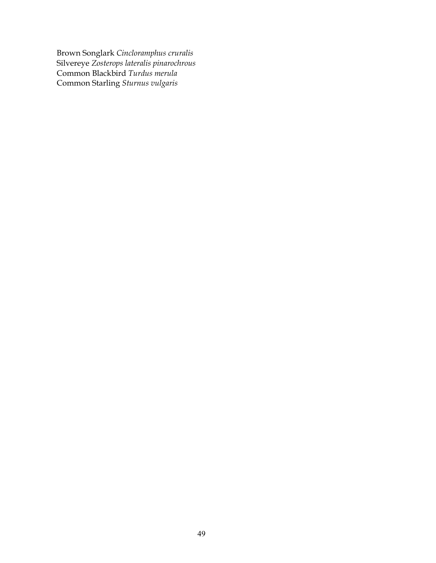Brown Songlark *Cincloramphus cruralis* Silvereye *Zosterops lateralis pinarochrous* Common Blackbird *Turdus merula* Common Starling *Sturnus vulgaris*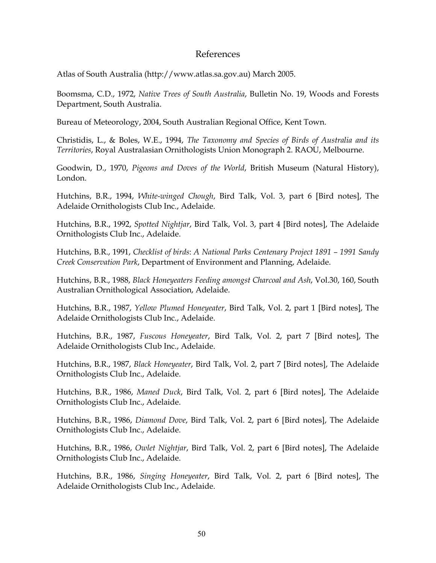### References

Atlas of South Australia (http://www.atlas.sa.gov.au) March 2005.

Boomsma, C.D., 1972, *Native Trees of South Australia*, Bulletin No. 19, Woods and Forests Department, South Australia.

Bureau of Meteorology, 2004, South Australian Regional Office, Kent Town.

Christidis, L., & Boles, W.E., 1994, *The Taxonomy and Species of Birds of Australia and its Territories*, Royal Australasian Ornithologists Union Monograph 2. RAOU, Melbourne.

Goodwin, D., 1970, *Pigeons and Doves of the World*, British Museum (Natural History), London.

Hutchins, B.R., 1994, *White-winged Chough*, Bird Talk, Vol. 3, part 6 [Bird notes], The Adelaide Ornithologists Club Inc., Adelaide.

Hutchins, B.R., 1992, *Spotted Nightjar*, Bird Talk, Vol. 3, part 4 [Bird notes], The Adelaide Ornithologists Club Inc., Adelaide.

Hutchins, B.R., 1991, *Checklist of birds*: *A National Parks Centenary Project 1891 – 1991 Sandy Creek Conservation Park*, Department of Environment and Planning, Adelaide.

Hutchins, B.R., 1988, *Black Honeyeaters Feeding amongst Charcoal and Ash*, Vol.30, 160, South Australian Ornithological Association, Adelaide.

Hutchins, B.R., 1987, *Yellow Plumed Honeyeater*, Bird Talk, Vol. 2, part 1 [Bird notes], The Adelaide Ornithologists Club Inc., Adelaide.

Hutchins, B.R., 1987, *Fuscous Honeyeater*, Bird Talk, Vol. 2, part 7 [Bird notes], The Adelaide Ornithologists Club Inc., Adelaide.

Hutchins, B.R., 1987, *Black Honeyeater*, Bird Talk, Vol. 2, part 7 [Bird notes], The Adelaide Ornithologists Club Inc., Adelaide.

Hutchins, B.R., 1986, *Maned Duck*, Bird Talk, Vol. 2, part 6 [Bird notes], The Adelaide Ornithologists Club Inc., Adelaide.

Hutchins, B.R., 1986, *Diamond Dove*, Bird Talk, Vol. 2, part 6 [Bird notes], The Adelaide Ornithologists Club Inc., Adelaide.

Hutchins, B.R., 1986, *Owlet Nightjar*, Bird Talk, Vol. 2, part 6 [Bird notes], The Adelaide Ornithologists Club Inc., Adelaide.

Hutchins, B.R., 1986, *Singing Honeyeater*, Bird Talk, Vol. 2, part 6 [Bird notes], The Adelaide Ornithologists Club Inc., Adelaide.